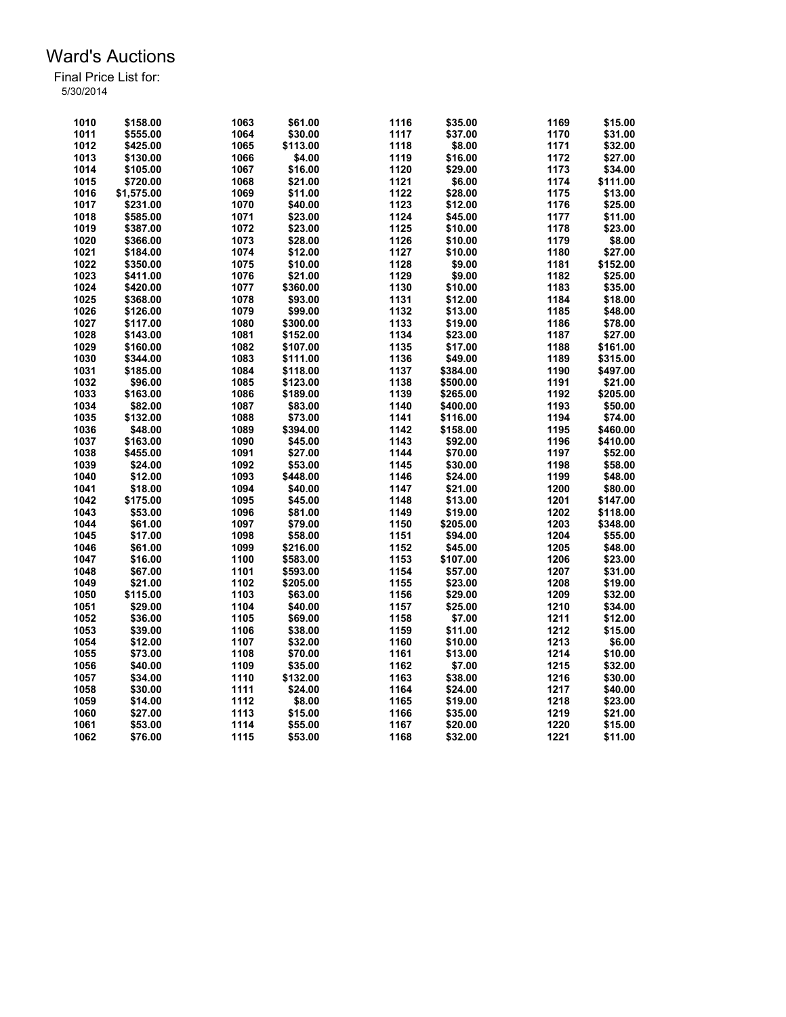| 1010 | \$158.00   | 1063 | \$61.00  | 1116 | \$35.00  | 1169 | \$15.00            |
|------|------------|------|----------|------|----------|------|--------------------|
| 1011 | \$555.00   | 1064 | \$30.00  | 1117 | \$37.00  | 1170 | \$31.00            |
| 1012 | \$425.00   | 1065 | \$113.00 | 1118 | \$8.00   | 1171 | \$32.00            |
| 1013 | \$130.00   | 1066 | \$4.00   | 1119 | \$16.00  | 1172 | \$27.00            |
| 1014 | \$105.00   | 1067 | \$16.00  | 1120 | \$29.00  | 1173 | \$34.00            |
| 1015 | \$720.00   | 1068 | \$21.00  | 1121 | \$6.00   | 1174 | \$111.00           |
| 1016 | \$1,575.00 | 1069 | \$11.00  | 1122 | \$28.00  | 1175 | \$13.00            |
| 1017 |            | 1070 |          | 1123 |          | 1176 |                    |
| 1018 | \$231.00   | 1071 | \$40.00  | 1124 | \$12.00  | 1177 | \$25.00<br>\$11.00 |
|      | \$585.00   |      | \$23.00  |      | \$45.00  |      |                    |
| 1019 | \$387.00   | 1072 | \$23.00  | 1125 | \$10.00  | 1178 | \$23.00            |
| 1020 | \$366.00   | 1073 | \$28.00  | 1126 | \$10.00  | 1179 | \$8.00             |
| 1021 | \$184.00   | 1074 | \$12.00  | 1127 | \$10.00  | 1180 | \$27.00            |
| 1022 | \$350.00   | 1075 | \$10.00  | 1128 | \$9.00   | 1181 | \$152.00           |
| 1023 | \$411.00   | 1076 | \$21.00  | 1129 | \$9.00   | 1182 | \$25.00            |
| 1024 | \$420.00   | 1077 | \$360.00 | 1130 | \$10.00  | 1183 | \$35.00            |
| 1025 | \$368.00   | 1078 | \$93.00  | 1131 | \$12.00  | 1184 | \$18.00            |
| 1026 | \$126.00   | 1079 | \$99.00  | 1132 | \$13.00  | 1185 | \$48.00            |
| 1027 | \$117.00   | 1080 | \$300.00 | 1133 | \$19.00  | 1186 | \$78.00            |
| 1028 | \$143.00   | 1081 | \$152.00 | 1134 | \$23.00  | 1187 | \$27.00            |
| 1029 | \$160.00   | 1082 | \$107.00 | 1135 | \$17.00  | 1188 | \$161.00           |
| 1030 | \$344.00   | 1083 | \$111.00 | 1136 | \$49.00  | 1189 | \$315.00           |
| 1031 | \$185.00   | 1084 | \$118.00 | 1137 | \$384.00 | 1190 | \$497.00           |
| 1032 | \$96.00    | 1085 | \$123.00 | 1138 | \$500.00 | 1191 | \$21.00            |
| 1033 | \$163.00   | 1086 | \$189.00 | 1139 | \$265.00 | 1192 | \$205.00           |
| 1034 | \$82.00    | 1087 | \$83.00  | 1140 | \$400.00 | 1193 | \$50.00            |
| 1035 | \$132.00   | 1088 | \$73.00  | 1141 | \$116.00 | 1194 | \$74.00            |
| 1036 | \$48.00    | 1089 | \$394.00 | 1142 | \$158.00 | 1195 | \$460.00           |
| 1037 | \$163.00   | 1090 | \$45.00  | 1143 | \$92.00  | 1196 | \$410.00           |
| 1038 | \$455.00   | 1091 | \$27.00  | 1144 | \$70.00  | 1197 | \$52.00            |
| 1039 | \$24.00    | 1092 | \$53.00  | 1145 | \$30.00  | 1198 | \$58.00            |
| 1040 | \$12.00    | 1093 | \$448.00 | 1146 | \$24.00  | 1199 | \$48.00            |
| 1041 | \$18.00    | 1094 | \$40.00  | 1147 | \$21.00  | 1200 | \$80.00            |
| 1042 | \$175.00   | 1095 | \$45.00  | 1148 | \$13.00  | 1201 | \$147.00           |
|      |            |      |          |      |          |      |                    |
| 1043 | \$53.00    | 1096 | \$81.00  | 1149 | \$19.00  | 1202 | \$118.00           |
| 1044 | \$61.00    | 1097 | \$79.00  | 1150 | \$205.00 | 1203 | \$348.00           |
| 1045 | \$17.00    | 1098 | \$58.00  | 1151 | \$94.00  | 1204 | \$55.00            |
| 1046 | \$61.00    | 1099 | \$216.00 | 1152 | \$45.00  | 1205 | \$48.00            |
| 1047 | \$16.00    | 1100 | \$583.00 | 1153 | \$107.00 | 1206 | \$23.00            |
| 1048 | \$67.00    | 1101 | \$593.00 | 1154 | \$57.00  | 1207 | \$31.00            |
| 1049 | \$21.00    | 1102 | \$205.00 | 1155 | \$23.00  | 1208 | \$19.00            |
| 1050 | \$115.00   | 1103 | \$63.00  | 1156 | \$29.00  | 1209 | \$32.00            |
| 1051 | \$29.00    | 1104 | \$40.00  | 1157 | \$25.00  | 1210 | \$34.00            |
| 1052 | \$36.00    | 1105 | \$69.00  | 1158 | \$7.00   | 1211 | \$12.00            |
| 1053 | \$39.00    | 1106 | \$38.00  | 1159 | \$11.00  | 1212 | \$15.00            |
| 1054 | \$12.00    | 1107 | \$32.00  | 1160 | \$10.00  | 1213 | \$6.00             |
| 1055 | \$73.00    | 1108 | \$70.00  | 1161 | \$13.00  | 1214 | \$10.00            |
| 1056 | \$40.00    | 1109 | \$35.00  | 1162 | \$7.00   | 1215 | \$32.00            |
| 1057 | \$34.00    | 1110 | \$132.00 | 1163 | \$38.00  | 1216 | \$30.00            |
| 1058 | \$30.00    | 1111 | \$24.00  | 1164 | \$24.00  | 1217 | \$40.00            |
| 1059 | \$14.00    | 1112 | \$8.00   | 1165 | \$19.00  | 1218 | \$23.00            |
| 1060 | \$27.00    | 1113 | \$15.00  | 1166 | \$35.00  | 1219 | \$21.00            |
| 1061 | \$53.00    | 1114 | \$55.00  | 1167 | \$20.00  | 1220 | \$15.00            |
| 1062 | \$76.00    | 1115 | \$53.00  | 1168 | \$32.00  | 1221 | \$11.00            |
|      |            |      |          |      |          |      |                    |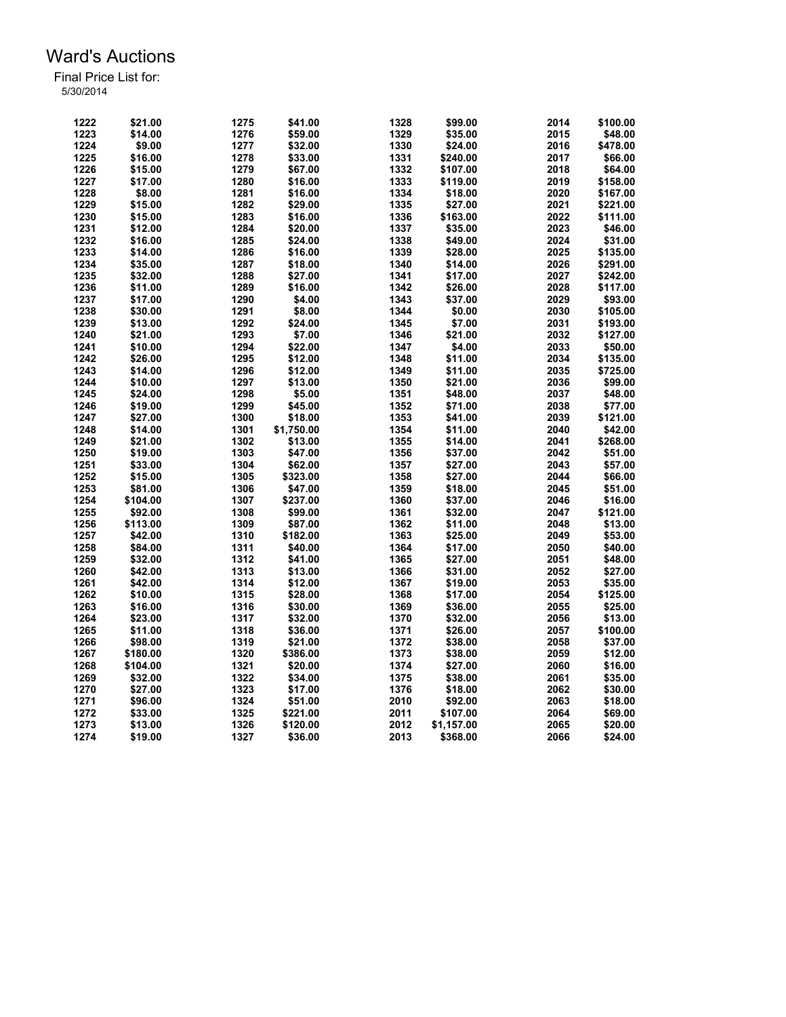| 1222 | \$21.00  | 1275 | \$41.00    | 1328 | \$99.00    | 2014 | \$100.00 |
|------|----------|------|------------|------|------------|------|----------|
| 1223 | \$14.00  | 1276 | \$59.00    | 1329 | \$35.00    | 2015 | \$48.00  |
| 1224 | \$9.00   | 1277 | \$32.00    | 1330 | \$24.00    | 2016 | \$478.00 |
| 1225 | \$16.00  | 1278 | \$33.00    | 1331 | \$240.00   | 2017 | \$66.00  |
| 1226 | \$15.00  | 1279 | \$67.00    | 1332 | \$107.00   | 2018 | \$64.00  |
| 1227 | \$17.00  | 1280 | \$16.00    | 1333 | \$119.00   | 2019 | \$158.00 |
| 1228 | \$8.00   | 1281 | \$16.00    | 1334 | \$18.00    | 2020 | \$167.00 |
| 1229 | \$15.00  | 1282 | \$29.00    | 1335 | \$27.00    | 2021 | \$221.00 |
| 1230 | \$15.00  | 1283 | \$16.00    | 1336 | \$163.00   | 2022 | \$111.00 |
| 1231 | \$12.00  | 1284 | \$20.00    | 1337 | \$35.00    | 2023 | \$46.00  |
| 1232 | \$16.00  | 1285 | \$24.00    | 1338 | \$49.00    | 2024 | \$31.00  |
| 1233 | \$14.00  | 1286 | \$16.00    | 1339 | \$28.00    | 2025 | \$135.00 |
| 1234 | \$35.00  | 1287 | \$18.00    | 1340 | \$14.00    | 2026 | \$291.00 |
| 1235 | \$32.00  | 1288 | \$27.00    | 1341 | \$17.00    | 2027 | \$242.00 |
| 1236 | \$11.00  | 1289 | \$16.00    | 1342 | \$26.00    | 2028 | \$117.00 |
| 1237 | \$17.00  | 1290 | \$4.00     | 1343 | \$37.00    | 2029 | \$93.00  |
| 1238 | \$30.00  | 1291 | \$8.00     | 1344 | \$0.00     | 2030 | \$105.00 |
| 1239 | \$13.00  | 1292 | \$24.00    | 1345 | \$7.00     | 2031 | \$193.00 |
| 1240 | \$21.00  | 1293 | \$7.00     | 1346 | \$21.00    | 2032 | \$127.00 |
| 1241 |          | 1294 |            | 1347 | \$4.00     | 2033 |          |
|      | \$10.00  | 1295 | \$22.00    | 1348 |            |      | \$50.00  |
| 1242 | \$26.00  |      | \$12.00    |      | \$11.00    | 2034 | \$135.00 |
| 1243 | \$14.00  | 1296 | \$12.00    | 1349 | \$11.00    | 2035 | \$725.00 |
| 1244 | \$10.00  | 1297 | \$13.00    | 1350 | \$21.00    | 2036 | \$99.00  |
| 1245 | \$24.00  | 1298 | \$5.00     | 1351 | \$48.00    | 2037 | \$48.00  |
| 1246 | \$19.00  | 1299 | \$45.00    | 1352 | \$71.00    | 2038 | \$77.00  |
| 1247 | \$27.00  | 1300 | \$18.00    | 1353 | \$41.00    | 2039 | \$121.00 |
| 1248 | \$14.00  | 1301 | \$1,750.00 | 1354 | \$11.00    | 2040 | \$42.00  |
| 1249 | \$21.00  | 1302 | \$13.00    | 1355 | \$14.00    | 2041 | \$268.00 |
| 1250 | \$19.00  | 1303 | \$47.00    | 1356 | \$37.00    | 2042 | \$51.00  |
| 1251 | \$33.00  | 1304 | \$62.00    | 1357 | \$27.00    | 2043 | \$57.00  |
| 1252 | \$15.00  | 1305 | \$323.00   | 1358 | \$27.00    | 2044 | \$66.00  |
| 1253 | \$81.00  | 1306 | \$47.00    | 1359 | \$18.00    | 2045 | \$51.00  |
| 1254 | \$104.00 | 1307 | \$237.00   | 1360 | \$37.00    | 2046 | \$16.00  |
| 1255 | \$92.00  | 1308 | \$99.00    | 1361 | \$32.00    | 2047 | \$121.00 |
| 1256 | \$113.00 | 1309 | \$87.00    | 1362 | \$11.00    | 2048 | \$13.00  |
| 1257 | \$42.00  | 1310 | \$182.00   | 1363 | \$25.00    | 2049 | \$53.00  |
| 1258 | \$84.00  | 1311 | \$40.00    | 1364 | \$17.00    | 2050 | \$40.00  |
| 1259 | \$32.00  | 1312 | \$41.00    | 1365 | \$27.00    | 2051 | \$48.00  |
| 1260 | \$42.00  | 1313 | \$13.00    | 1366 | \$31.00    | 2052 | \$27.00  |
| 1261 | \$42.00  | 1314 | \$12.00    | 1367 | \$19.00    | 2053 | \$35.00  |
| 1262 | \$10.00  | 1315 | \$28.00    | 1368 | \$17.00    | 2054 | \$125.00 |
| 1263 | \$16.00  | 1316 | \$30.00    | 1369 | \$36.00    | 2055 | \$25.00  |
| 1264 | \$23.00  | 1317 | \$32.00    | 1370 | \$32.00    | 2056 | \$13.00  |
| 1265 | \$11.00  | 1318 | \$36.00    | 1371 | \$26.00    | 2057 | \$100.00 |
| 1266 | \$98.00  | 1319 | \$21.00    | 1372 | \$38.00    | 2058 | \$37.00  |
| 1267 | \$180.00 | 1320 | \$386.00   | 1373 | \$38.00    | 2059 | \$12.00  |
| 1268 | \$104.00 | 1321 | \$20.00    | 1374 | \$27.00    | 2060 | \$16.00  |
| 1269 | \$32.00  | 1322 | \$34.00    | 1375 | \$38.00    | 2061 | \$35.00  |
| 1270 | \$27.00  | 1323 | \$17.00    | 1376 | \$18.00    | 2062 | \$30.00  |
| 1271 | \$96.00  | 1324 | \$51.00    | 2010 | \$92.00    | 2063 | \$18.00  |
| 1272 | \$33.00  | 1325 | \$221.00   | 2011 | \$107.00   | 2064 | \$69.00  |
| 1273 | \$13.00  | 1326 | \$120.00   | 2012 | \$1,157.00 | 2065 | \$20.00  |
| 1274 | \$19.00  | 1327 | \$36.00    | 2013 | \$368.00   | 2066 | \$24.00  |
|      |          |      |            |      |            |      |          |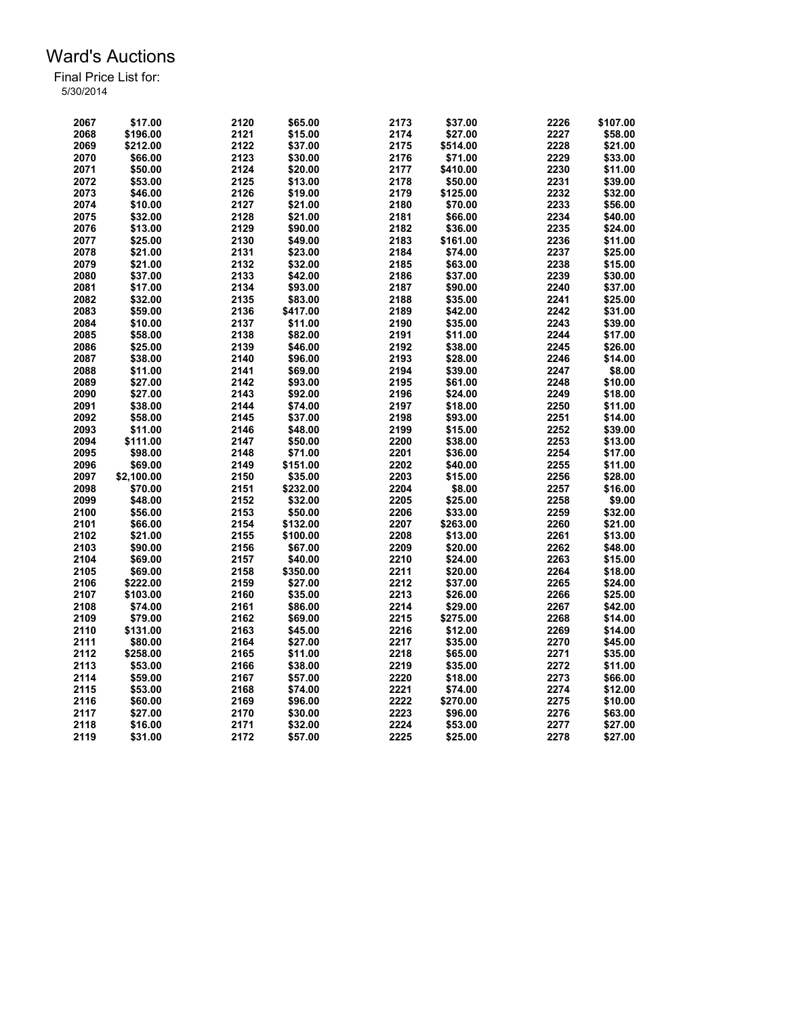| 2067 | \$17.00    | 2120 | \$65.00  | 2173 | \$37.00  | 2226 | \$107.00 |
|------|------------|------|----------|------|----------|------|----------|
| 2068 | \$196.00   | 2121 | \$15.00  | 2174 | \$27.00  | 2227 | \$58.00  |
| 2069 | \$212.00   | 2122 | \$37.00  | 2175 | \$514.00 | 2228 | \$21.00  |
| 2070 | \$66.00    | 2123 | \$30.00  | 2176 | \$71.00  | 2229 | \$33.00  |
| 2071 | \$50.00    | 2124 | \$20.00  | 2177 | \$410.00 | 2230 | \$11.00  |
| 2072 | \$53.00    | 2125 | \$13.00  | 2178 | \$50.00  | 2231 | \$39.00  |
| 2073 | \$46.00    | 2126 | \$19.00  | 2179 | \$125.00 | 2232 | \$32.00  |
| 2074 | \$10.00    | 2127 | \$21.00  | 2180 | \$70.00  | 2233 | \$56.00  |
| 2075 | \$32.00    | 2128 | \$21.00  | 2181 | \$66.00  | 2234 | \$40.00  |
| 2076 | \$13.00    | 2129 | \$90.00  | 2182 | \$36.00  | 2235 | \$24.00  |
| 2077 | \$25.00    | 2130 | \$49.00  | 2183 | \$161.00 | 2236 | \$11.00  |
| 2078 | \$21.00    | 2131 | \$23.00  | 2184 | \$74.00  | 2237 | \$25.00  |
| 2079 | \$21.00    | 2132 | \$32.00  | 2185 | \$63.00  | 2238 | \$15.00  |
| 2080 | \$37.00    | 2133 | \$42.00  | 2186 | \$37.00  | 2239 | \$30.00  |
| 2081 | \$17.00    | 2134 | \$93.00  | 2187 | \$90.00  | 2240 | \$37.00  |
| 2082 | \$32.00    | 2135 | \$83.00  | 2188 | \$35.00  | 2241 | \$25.00  |
| 2083 | \$59.00    | 2136 | \$417.00 | 2189 | \$42.00  | 2242 | \$31.00  |
| 2084 | \$10.00    | 2137 | \$11.00  | 2190 | \$35.00  | 2243 | \$39.00  |
| 2085 | \$58.00    | 2138 | \$82.00  | 2191 | \$11.00  | 2244 | \$17.00  |
| 2086 | \$25.00    | 2139 | \$46.00  | 2192 | \$38.00  | 2245 | \$26.00  |
| 2087 | \$38.00    | 2140 |          | 2193 |          | 2246 | \$14.00  |
| 2088 |            | 2141 | \$96.00  | 2194 | \$28.00  | 2247 |          |
|      | \$11.00    |      | \$69.00  |      | \$39.00  |      | \$8.00   |
| 2089 | \$27.00    | 2142 | \$93.00  | 2195 | \$61.00  | 2248 | \$10.00  |
| 2090 | \$27.00    | 2143 | \$92.00  | 2196 | \$24.00  | 2249 | \$18.00  |
| 2091 | \$38.00    | 2144 | \$74.00  | 2197 | \$18.00  | 2250 | \$11.00  |
| 2092 | \$58.00    | 2145 | \$37.00  | 2198 | \$93.00  | 2251 | \$14.00  |
| 2093 | \$11.00    | 2146 | \$48.00  | 2199 | \$15.00  | 2252 | \$39.00  |
| 2094 | \$111.00   | 2147 | \$50.00  | 2200 | \$38.00  | 2253 | \$13.00  |
| 2095 | \$98.00    | 2148 | \$71.00  | 2201 | \$36.00  | 2254 | \$17.00  |
| 2096 | \$69.00    | 2149 | \$151.00 | 2202 | \$40.00  | 2255 | \$11.00  |
| 2097 | \$2,100.00 | 2150 | \$35.00  | 2203 | \$15.00  | 2256 | \$28.00  |
| 2098 | \$70.00    | 2151 | \$232.00 | 2204 | \$8.00   | 2257 | \$16.00  |
| 2099 | \$48.00    | 2152 | \$32.00  | 2205 | \$25.00  | 2258 | \$9.00   |
| 2100 | \$56.00    | 2153 | \$50.00  | 2206 | \$33.00  | 2259 | \$32.00  |
| 2101 | \$66.00    | 2154 | \$132.00 | 2207 | \$263.00 | 2260 | \$21.00  |
| 2102 | \$21.00    | 2155 | \$100.00 | 2208 | \$13.00  | 2261 | \$13.00  |
| 2103 | \$90.00    | 2156 | \$67.00  | 2209 | \$20.00  | 2262 | \$48.00  |
| 2104 | \$69.00    | 2157 | \$40.00  | 2210 | \$24.00  | 2263 | \$15.00  |
| 2105 | \$69.00    | 2158 | \$350.00 | 2211 | \$20.00  | 2264 | \$18.00  |
| 2106 | \$222.00   | 2159 | \$27.00  | 2212 | \$37.00  | 2265 | \$24.00  |
| 2107 | \$103.00   | 2160 | \$35.00  | 2213 | \$26.00  | 2266 | \$25.00  |
| 2108 | \$74.00    | 2161 | \$86.00  | 2214 | \$29.00  | 2267 | \$42.00  |
| 2109 | \$79.00    | 2162 | \$69.00  | 2215 | \$275.00 | 2268 | \$14.00  |
| 2110 | \$131.00   | 2163 | \$45.00  | 2216 | \$12.00  | 2269 | \$14.00  |
| 2111 | \$80.00    | 2164 | \$27.00  | 2217 | \$35.00  | 2270 | \$45.00  |
| 2112 | \$258.00   | 2165 | \$11.00  | 2218 | \$65.00  | 2271 | \$35.00  |
| 2113 | \$53.00    | 2166 | \$38.00  | 2219 | \$35.00  | 2272 | \$11.00  |
| 2114 | \$59.00    | 2167 | \$57.00  | 2220 | \$18.00  | 2273 | \$66.00  |
| 2115 | \$53.00    | 2168 | \$74.00  | 2221 | \$74.00  | 2274 | \$12.00  |
| 2116 | \$60.00    | 2169 | \$96.00  | 2222 | \$270.00 | 2275 | \$10.00  |
| 2117 | \$27.00    | 2170 | \$30.00  | 2223 | \$96.00  | 2276 | \$63.00  |
| 2118 | \$16.00    | 2171 | \$32.00  | 2224 | \$53.00  | 2277 | \$27.00  |
| 2119 | \$31.00    | 2172 | \$57.00  | 2225 | \$25.00  | 2278 | \$27.00  |
|      |            |      |          |      |          |      |          |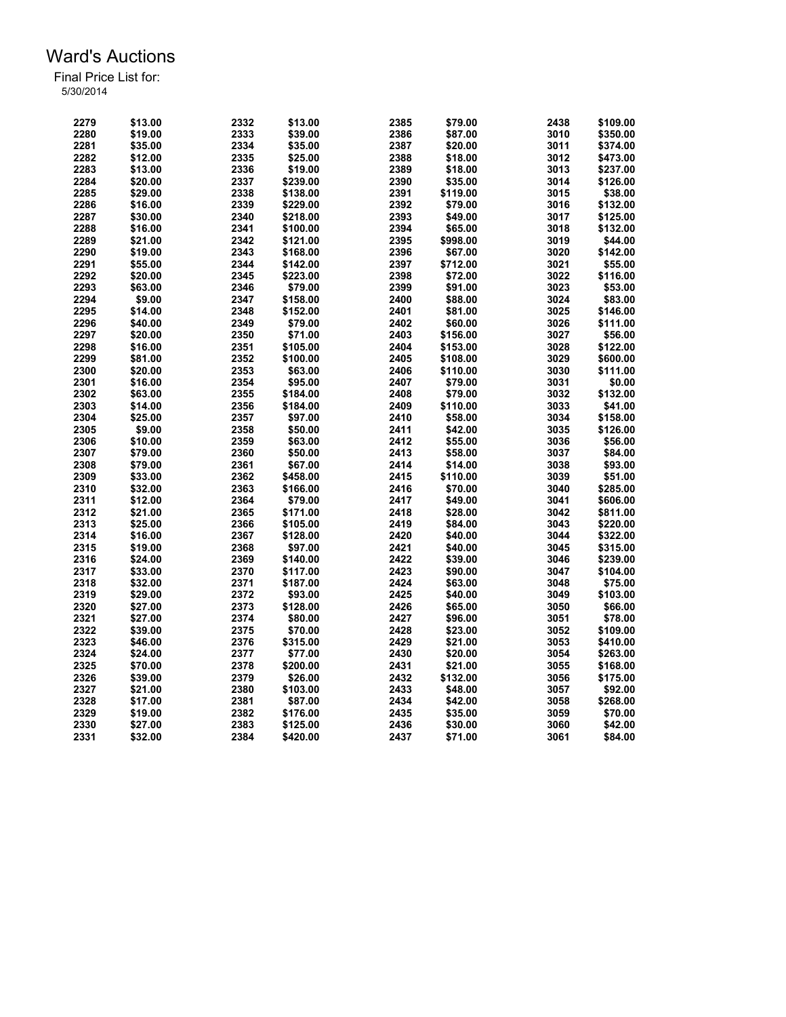| 2279 | \$13.00 | 2332 | \$13.00  | 2385 | \$79.00  | 2438 | \$109.00 |
|------|---------|------|----------|------|----------|------|----------|
| 2280 | \$19.00 | 2333 | \$39.00  | 2386 | \$87.00  | 3010 | \$350.00 |
| 2281 | \$35.00 | 2334 | \$35.00  | 2387 | \$20.00  | 3011 | \$374.00 |
| 2282 | \$12.00 | 2335 | \$25.00  | 2388 | \$18.00  | 3012 | \$473.00 |
| 2283 | \$13.00 | 2336 | \$19.00  | 2389 | \$18.00  | 3013 | \$237.00 |
| 2284 | \$20.00 | 2337 | \$239.00 | 2390 | \$35.00  | 3014 | \$126.00 |
| 2285 | \$29.00 | 2338 | \$138.00 | 2391 | \$119.00 | 3015 | \$38.00  |
| 2286 | \$16.00 | 2339 | \$229.00 | 2392 | \$79.00  | 3016 | \$132.00 |
| 2287 | \$30.00 | 2340 | \$218.00 | 2393 | \$49.00  | 3017 | \$125.00 |
| 2288 | \$16.00 | 2341 | \$100.00 | 2394 | \$65.00  | 3018 | \$132.00 |
| 2289 | \$21.00 | 2342 | \$121.00 | 2395 | \$998.00 | 3019 | \$44.00  |
| 2290 | \$19.00 | 2343 | \$168.00 | 2396 | \$67.00  | 3020 | \$142.00 |
| 2291 | \$55.00 | 2344 | \$142.00 | 2397 | \$712.00 | 3021 | \$55.00  |
| 2292 | \$20.00 | 2345 | \$223.00 | 2398 | \$72.00  | 3022 | \$116.00 |
| 2293 | \$63.00 | 2346 | \$79.00  | 2399 | \$91.00  | 3023 | \$53.00  |
| 2294 | \$9.00  | 2347 | \$158.00 | 2400 | \$88.00  | 3024 | \$83.00  |
| 2295 | \$14.00 | 2348 | \$152.00 | 2401 | \$81.00  | 3025 | \$146.00 |
| 2296 | \$40.00 | 2349 | \$79.00  | 2402 | \$60.00  | 3026 | \$111.00 |
|      |         |      |          |      |          |      |          |
| 2297 | \$20.00 | 2350 | \$71.00  | 2403 | \$156.00 | 3027 | \$56.00  |
| 2298 | \$16.00 | 2351 | \$105.00 | 2404 | \$153.00 | 3028 | \$122.00 |
| 2299 | \$81.00 | 2352 | \$100.00 | 2405 | \$108.00 | 3029 | \$600.00 |
| 2300 | \$20.00 | 2353 | \$63.00  | 2406 | \$110.00 | 3030 | \$111.00 |
| 2301 | \$16.00 | 2354 | \$95.00  | 2407 | \$79.00  | 3031 | \$0.00   |
| 2302 | \$63.00 | 2355 | \$184.00 | 2408 | \$79.00  | 3032 | \$132.00 |
| 2303 | \$14.00 | 2356 | \$184.00 | 2409 | \$110.00 | 3033 | \$41.00  |
| 2304 | \$25.00 | 2357 | \$97.00  | 2410 | \$58.00  | 3034 | \$158.00 |
| 2305 | \$9.00  | 2358 | \$50.00  | 2411 | \$42.00  | 3035 | \$126.00 |
| 2306 | \$10.00 | 2359 | \$63.00  | 2412 | \$55.00  | 3036 | \$56.00  |
| 2307 | \$79.00 | 2360 | \$50.00  | 2413 | \$58.00  | 3037 | \$84.00  |
| 2308 | \$79.00 | 2361 | \$67.00  | 2414 | \$14.00  | 3038 | \$93.00  |
| 2309 | \$33.00 | 2362 | \$458.00 | 2415 | \$110.00 | 3039 | \$51.00  |
| 2310 | \$32.00 | 2363 | \$166.00 | 2416 | \$70.00  | 3040 | \$285.00 |
| 2311 | \$12.00 | 2364 | \$79.00  | 2417 | \$49.00  | 3041 | \$606.00 |
| 2312 | \$21.00 | 2365 | \$171.00 | 2418 | \$28.00  | 3042 | \$811.00 |
| 2313 | \$25.00 | 2366 | \$105.00 | 2419 | \$84.00  | 3043 | \$220.00 |
| 2314 | \$16.00 | 2367 | \$128.00 | 2420 | \$40.00  | 3044 | \$322.00 |
| 2315 | \$19.00 | 2368 | \$97.00  | 2421 | \$40.00  | 3045 | \$315.00 |
| 2316 | \$24.00 | 2369 | \$140.00 | 2422 | \$39.00  | 3046 | \$239.00 |
| 2317 | \$33.00 | 2370 | \$117.00 | 2423 | \$90.00  | 3047 | \$104.00 |
| 2318 | \$32.00 | 2371 | \$187.00 | 2424 | \$63.00  | 3048 | \$75.00  |
| 2319 | \$29.00 | 2372 | \$93.00  | 2425 | \$40.00  | 3049 | \$103.00 |
| 2320 | \$27.00 | 2373 | \$128.00 | 2426 | \$65.00  | 3050 | \$66.00  |
| 2321 | \$27.00 | 2374 | \$80.00  | 2427 | \$96.00  | 3051 | \$78.00  |
| 2322 | \$39.00 | 2375 | \$70.00  | 2428 | \$23.00  | 3052 | \$109.00 |
| 2323 | \$46.00 | 2376 | \$315.00 | 2429 | \$21.00  | 3053 | \$410.00 |
| 2324 | \$24.00 | 2377 | \$77.00  | 2430 | \$20.00  | 3054 | \$263.00 |
| 2325 | \$70.00 | 2378 | \$200.00 | 2431 | \$21.00  | 3055 | \$168.00 |
| 2326 | \$39.00 | 2379 | \$26.00  | 2432 | \$132.00 | 3056 | \$175.00 |
| 2327 | \$21.00 | 2380 | \$103.00 | 2433 | \$48.00  | 3057 | \$92.00  |
| 2328 | \$17.00 | 2381 | \$87.00  | 2434 | \$42.00  | 3058 | \$268.00 |
| 2329 | \$19.00 | 2382 | \$176.00 | 2435 | \$35.00  | 3059 | \$70.00  |
| 2330 | \$27.00 | 2383 | \$125.00 | 2436 | \$30.00  | 3060 | \$42.00  |
| 2331 | \$32.00 | 2384 | \$420.00 | 2437 | \$71.00  | 3061 | \$84.00  |
|      |         |      |          |      |          |      |          |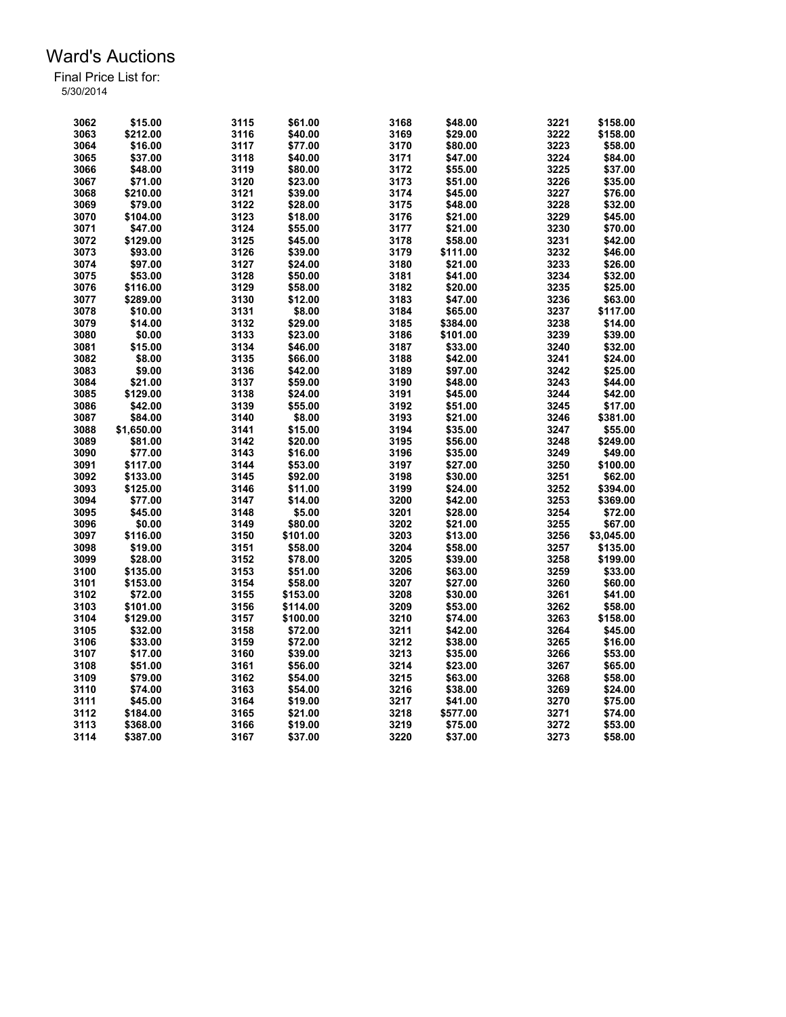| 3062 | \$15.00    | 3115 | \$61.00  | 3168 | \$48.00  | 3221 | \$158.00   |
|------|------------|------|----------|------|----------|------|------------|
| 3063 | \$212.00   | 3116 | \$40.00  | 3169 | \$29.00  | 3222 | \$158.00   |
| 3064 | \$16.00    | 3117 | \$77.00  | 3170 | \$80.00  | 3223 | \$58.00    |
| 3065 | \$37.00    | 3118 | \$40.00  | 3171 | \$47.00  | 3224 | \$84.00    |
| 3066 | \$48.00    | 3119 | \$80.00  | 3172 | \$55.00  | 3225 | \$37.00    |
| 3067 | \$71.00    | 3120 | \$23.00  | 3173 | \$51.00  | 3226 | \$35.00    |
| 3068 | \$210.00   | 3121 | \$39.00  | 3174 | \$45.00  | 3227 | \$76.00    |
| 3069 | \$79.00    | 3122 | \$28.00  | 3175 | \$48.00  | 3228 | \$32.00    |
| 3070 | \$104.00   | 3123 | \$18.00  | 3176 | \$21.00  | 3229 | \$45.00    |
| 3071 | \$47.00    | 3124 | \$55.00  | 3177 | \$21.00  | 3230 | \$70.00    |
| 3072 | \$129.00   | 3125 | \$45.00  | 3178 | \$58.00  | 3231 | \$42.00    |
| 3073 | \$93.00    | 3126 | \$39.00  | 3179 | \$111.00 | 3232 | \$46.00    |
| 3074 | \$97.00    | 3127 | \$24.00  | 3180 | \$21.00  | 3233 | \$26.00    |
| 3075 | \$53.00    | 3128 | \$50.00  | 3181 | \$41.00  | 3234 | \$32.00    |
| 3076 | \$116.00   | 3129 | \$58.00  | 3182 | \$20.00  | 3235 | \$25.00    |
| 3077 | \$289.00   | 3130 | \$12.00  | 3183 | \$47.00  | 3236 | \$63.00    |
| 3078 | \$10.00    | 3131 | \$8.00   | 3184 | \$65.00  | 3237 | \$117.00   |
| 3079 | \$14.00    | 3132 | \$29.00  | 3185 | \$384.00 | 3238 | \$14.00    |
| 3080 | \$0.00     | 3133 | \$23.00  | 3186 |          | 3239 | \$39.00    |
| 3081 | \$15.00    | 3134 |          |      | \$101.00 | 3240 | \$32.00    |
|      |            |      | \$46.00  | 3187 | \$33.00  |      |            |
| 3082 | \$8.00     | 3135 | \$66.00  | 3188 | \$42.00  | 3241 | \$24.00    |
| 3083 | \$9.00     | 3136 | \$42.00  | 3189 | \$97.00  | 3242 | \$25.00    |
| 3084 | \$21.00    | 3137 | \$59.00  | 3190 | \$48.00  | 3243 | \$44.00    |
| 3085 | \$129.00   | 3138 | \$24.00  | 3191 | \$45.00  | 3244 | \$42.00    |
| 3086 | \$42.00    | 3139 | \$55.00  | 3192 | \$51.00  | 3245 | \$17.00    |
| 3087 | \$84.00    | 3140 | \$8.00   | 3193 | \$21.00  | 3246 | \$381.00   |
| 3088 | \$1,650.00 | 3141 | \$15.00  | 3194 | \$35.00  | 3247 | \$55.00    |
| 3089 | \$81.00    | 3142 | \$20.00  | 3195 | \$56.00  | 3248 | \$249.00   |
| 3090 | \$77.00    | 3143 | \$16.00  | 3196 | \$35.00  | 3249 | \$49.00    |
| 3091 | \$117.00   | 3144 | \$53.00  | 3197 | \$27.00  | 3250 | \$100.00   |
| 3092 | \$133.00   | 3145 | \$92.00  | 3198 | \$30.00  | 3251 | \$62.00    |
| 3093 | \$125.00   | 3146 | \$11.00  | 3199 | \$24.00  | 3252 | \$394.00   |
| 3094 | \$77.00    | 3147 | \$14.00  | 3200 | \$42.00  | 3253 | \$369.00   |
| 3095 | \$45.00    | 3148 | \$5.00   | 3201 | \$28.00  | 3254 | \$72.00    |
| 3096 | \$0.00     | 3149 | \$80.00  | 3202 | \$21.00  | 3255 | \$67.00    |
| 3097 | \$116.00   | 3150 | \$101.00 | 3203 | \$13.00  | 3256 | \$3,045.00 |
| 3098 | \$19.00    | 3151 | \$58.00  | 3204 | \$58.00  | 3257 | \$135.00   |
| 3099 | \$28.00    | 3152 | \$78.00  | 3205 | \$39.00  | 3258 | \$199.00   |
| 3100 | \$135.00   | 3153 | \$51.00  | 3206 | \$63.00  | 3259 | \$33.00    |
| 3101 | \$153.00   | 3154 | \$58.00  | 3207 | \$27.00  | 3260 | \$60.00    |
| 3102 | \$72.00    | 3155 | \$153.00 | 3208 | \$30.00  | 3261 | \$41.00    |
| 3103 | \$101.00   | 3156 | \$114.00 | 3209 | \$53.00  | 3262 | \$58.00    |
| 3104 | \$129.00   | 3157 | \$100.00 | 3210 | \$74.00  | 3263 | \$158.00   |
| 3105 | \$32.00    | 3158 | \$72.00  | 3211 | \$42.00  | 3264 | \$45.00    |
| 3106 | \$33.00    | 3159 | \$72.00  | 3212 | \$38.00  | 3265 | \$16.00    |
| 3107 | \$17.00    | 3160 | \$39.00  | 3213 | \$35.00  | 3266 | \$53.00    |
| 3108 | \$51.00    | 3161 | \$56.00  | 3214 | \$23.00  | 3267 | \$65.00    |
| 3109 | \$79.00    | 3162 | \$54.00  | 3215 | \$63.00  | 3268 | \$58.00    |
| 3110 | \$74.00    | 3163 | \$54.00  | 3216 | \$38.00  | 3269 | \$24.00    |
| 3111 | \$45.00    | 3164 | \$19.00  | 3217 | \$41.00  | 3270 | \$75.00    |
| 3112 | \$184.00   | 3165 | \$21.00  | 3218 | \$577.00 | 3271 | \$74.00    |
| 3113 | \$368.00   | 3166 | \$19.00  | 3219 | \$75.00  | 3272 | \$53.00    |
| 3114 | \$387.00   | 3167 | \$37.00  | 3220 | \$37.00  | 3273 | \$58.00    |
|      |            |      |          |      |          |      |            |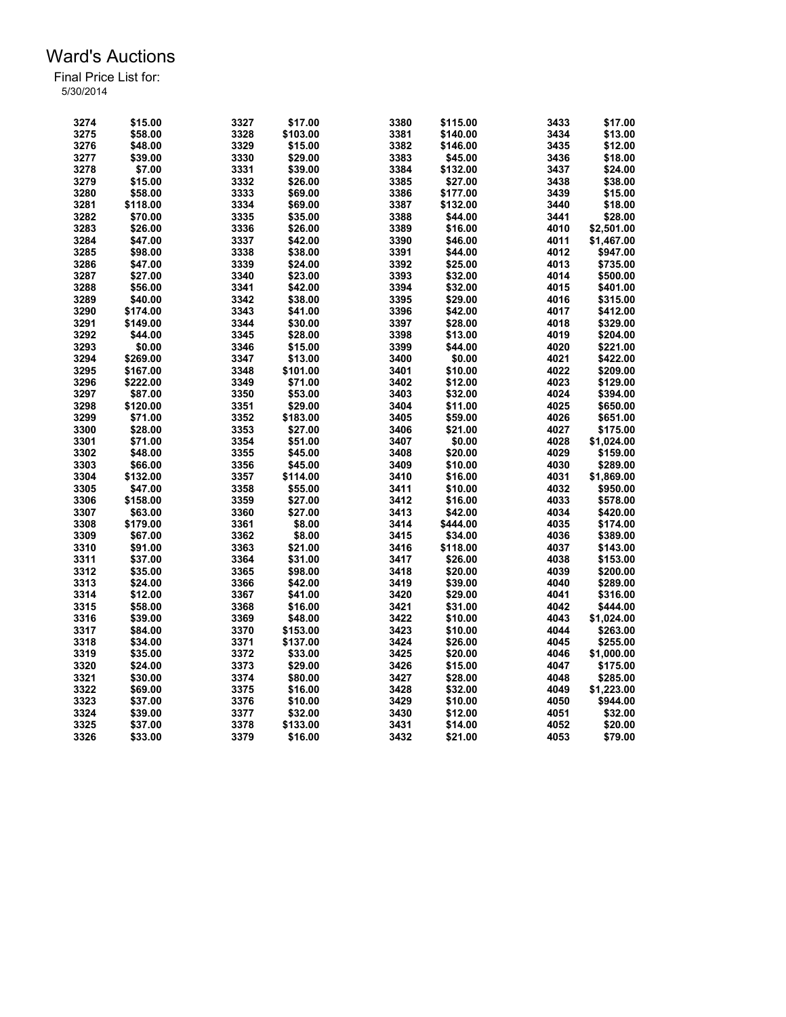| 3274 | \$15.00  | 3327 | \$17.00  | 3380 | \$115.00 | 3433 | \$17.00    |
|------|----------|------|----------|------|----------|------|------------|
| 3275 | \$58.00  | 3328 | \$103.00 | 3381 | \$140.00 | 3434 | \$13.00    |
| 3276 | \$48.00  | 3329 | \$15.00  | 3382 | \$146.00 | 3435 | \$12.00    |
| 3277 | \$39.00  | 3330 | \$29.00  | 3383 | \$45.00  | 3436 | \$18.00    |
| 3278 | \$7.00   | 3331 | \$39.00  | 3384 | \$132.00 | 3437 | \$24.00    |
| 3279 | \$15.00  | 3332 | \$26.00  | 3385 | \$27.00  | 3438 | \$38.00    |
| 3280 | \$58.00  | 3333 | \$69.00  | 3386 | \$177.00 | 3439 | \$15.00    |
| 3281 | \$118.00 | 3334 | \$69.00  | 3387 | \$132.00 | 3440 | \$18.00    |
| 3282 | \$70.00  | 3335 | \$35.00  | 3388 | \$44.00  | 3441 | \$28.00    |
| 3283 | \$26.00  | 3336 | \$26.00  | 3389 | \$16.00  | 4010 | \$2,501.00 |
| 3284 | \$47.00  | 3337 | \$42.00  | 3390 | \$46.00  | 4011 | \$1,467.00 |
| 3285 | \$98.00  | 3338 | \$38.00  | 3391 | \$44.00  | 4012 | \$947.00   |
| 3286 | \$47.00  | 3339 | \$24.00  | 3392 | \$25.00  | 4013 | \$735.00   |
| 3287 | \$27.00  | 3340 | \$23.00  | 3393 | \$32.00  | 4014 | \$500.00   |
| 3288 | \$56.00  | 3341 | \$42.00  | 3394 | \$32.00  | 4015 | \$401.00   |
| 3289 | \$40.00  | 3342 | \$38.00  | 3395 | \$29.00  | 4016 | \$315.00   |
| 3290 | \$174.00 | 3343 | \$41.00  | 3396 | \$42.00  | 4017 | \$412.00   |
| 3291 | \$149.00 | 3344 | \$30.00  | 3397 | \$28.00  | 4018 | \$329.00   |
|      |          |      |          |      | \$13.00  |      |            |
| 3292 | \$44.00  | 3345 | \$28.00  | 3398 |          | 4019 | \$204.00   |
| 3293 | \$0.00   | 3346 | \$15.00  | 3399 | \$44.00  | 4020 | \$221.00   |
| 3294 | \$269.00 | 3347 | \$13.00  | 3400 | \$0.00   | 4021 | \$422.00   |
| 3295 | \$167.00 | 3348 | \$101.00 | 3401 | \$10.00  | 4022 | \$209.00   |
| 3296 | \$222.00 | 3349 | \$71.00  | 3402 | \$12.00  | 4023 | \$129.00   |
| 3297 | \$87.00  | 3350 | \$53.00  | 3403 | \$32.00  | 4024 | \$394.00   |
| 3298 | \$120.00 | 3351 | \$29.00  | 3404 | \$11.00  | 4025 | \$650.00   |
| 3299 | \$71.00  | 3352 | \$183.00 | 3405 | \$59.00  | 4026 | \$651.00   |
| 3300 | \$28.00  | 3353 | \$27.00  | 3406 | \$21.00  | 4027 | \$175.00   |
| 3301 | \$71.00  | 3354 | \$51.00  | 3407 | \$0.00   | 4028 | \$1,024.00 |
| 3302 | \$48.00  | 3355 | \$45.00  | 3408 | \$20.00  | 4029 | \$159.00   |
| 3303 | \$66.00  | 3356 | \$45.00  | 3409 | \$10.00  | 4030 | \$289.00   |
| 3304 | \$132.00 | 3357 | \$114.00 | 3410 | \$16.00  | 4031 | \$1,869.00 |
| 3305 | \$47.00  | 3358 | \$55.00  | 3411 | \$10.00  | 4032 | \$950.00   |
| 3306 | \$158.00 | 3359 | \$27.00  | 3412 | \$16.00  | 4033 | \$578.00   |
| 3307 | \$63.00  | 3360 | \$27.00  | 3413 | \$42.00  | 4034 | \$420.00   |
| 3308 | \$179.00 | 3361 | \$8.00   | 3414 | \$444.00 | 4035 | \$174.00   |
| 3309 | \$67.00  | 3362 | \$8.00   | 3415 | \$34.00  | 4036 | \$389.00   |
| 3310 | \$91.00  | 3363 | \$21.00  | 3416 | \$118.00 | 4037 | \$143.00   |
| 3311 | \$37.00  | 3364 | \$31.00  | 3417 | \$26.00  | 4038 | \$153.00   |
| 3312 | \$35.00  | 3365 | \$98.00  | 3418 | \$20.00  | 4039 | \$200.00   |
| 3313 | \$24.00  | 3366 | \$42.00  | 3419 | \$39.00  | 4040 | \$289.00   |
| 3314 | \$12.00  | 3367 | \$41.00  | 3420 | \$29.00  | 4041 | \$316.00   |
| 3315 | \$58.00  | 3368 | \$16.00  | 3421 | \$31.00  | 4042 | \$444.00   |
| 3316 | \$39.00  | 3369 | \$48.00  | 3422 | \$10.00  | 4043 | \$1,024.00 |
| 3317 | \$84.00  | 3370 | \$153.00 | 3423 | \$10.00  | 4044 | \$263.00   |
| 3318 | \$34.00  | 3371 | \$137.00 | 3424 | \$26.00  | 4045 | \$255.00   |
| 3319 | \$35.00  | 3372 | \$33.00  | 3425 | \$20.00  | 4046 | \$1,000.00 |
| 3320 | \$24.00  | 3373 | \$29.00  | 3426 | \$15.00  | 4047 | \$175.00   |
| 3321 | \$30.00  | 3374 | \$80.00  | 3427 |          | 4048 | \$285.00   |
| 3322 |          | 3375 |          | 3428 | \$28.00  | 4049 | \$1,223.00 |
| 3323 | \$69.00  |      | \$16.00  | 3429 | \$32.00  |      |            |
|      | \$37.00  | 3376 | \$10.00  |      | \$10.00  | 4050 | \$944.00   |
| 3324 | \$39.00  | 3377 | \$32.00  | 3430 | \$12.00  | 4051 | \$32.00    |
| 3325 | \$37.00  | 3378 | \$133.00 | 3431 | \$14.00  | 4052 | \$20.00    |
| 3326 | \$33.00  | 3379 | \$16.00  | 3432 | \$21.00  | 4053 | \$79.00    |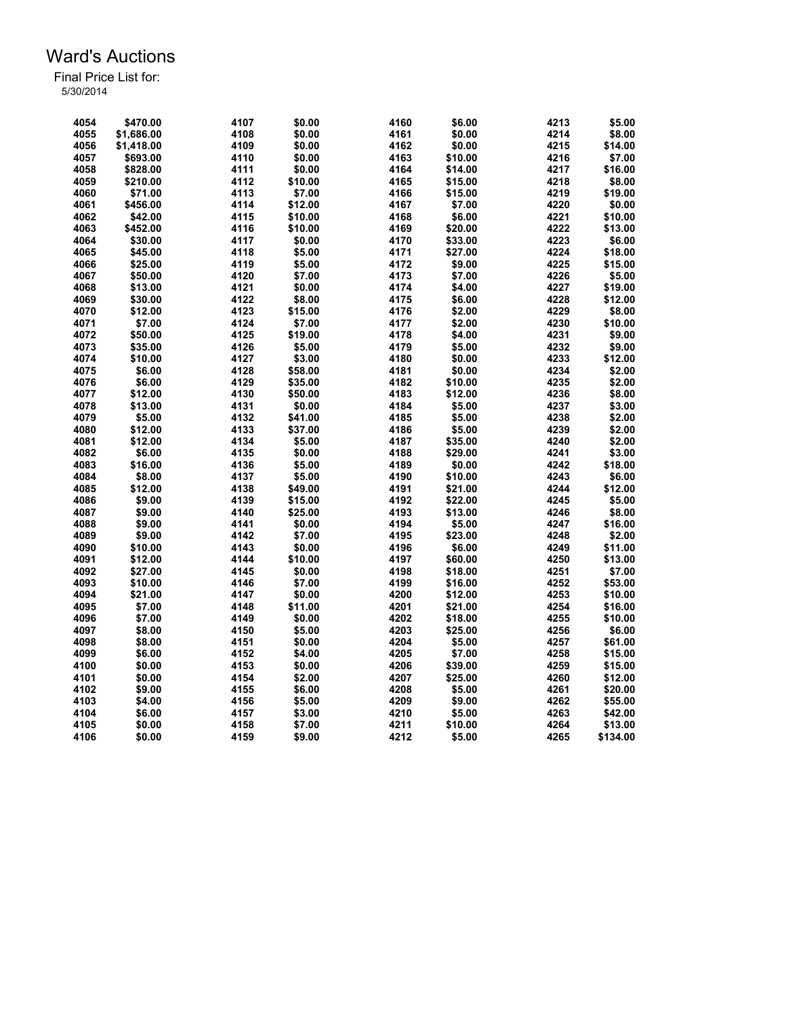| 4054         | \$470.00   | 4107 | \$0.00  | 4160         | \$6.00  | 4213 | \$5.00   |
|--------------|------------|------|---------|--------------|---------|------|----------|
| 4055         | \$1,686.00 | 4108 | \$0.00  | 4161         | \$0.00  | 4214 | \$8.00   |
| 4056         | \$1,418.00 | 4109 | \$0.00  | 4162         | \$0.00  | 4215 | \$14.00  |
| 4057         | \$693.00   | 4110 | \$0.00  | 4163         | \$10.00 | 4216 | \$7.00   |
| 4058         | \$828.00   | 4111 | \$0.00  | 4164         | \$14.00 | 4217 | \$16.00  |
| 4059         | \$210.00   | 4112 | \$10.00 | 4165         | \$15.00 | 4218 | \$8.00   |
| 4060         | \$71.00    | 4113 | \$7.00  | 4166         | \$15.00 | 4219 | \$19.00  |
| 4061         | \$456.00   | 4114 | \$12.00 | 4167         | \$7.00  | 4220 | \$0.00   |
| 4062         | \$42.00    | 4115 | \$10.00 | 4168         | \$6.00  | 4221 | \$10.00  |
| 4063         | \$452.00   | 4116 | \$10.00 | 4169         | \$20.00 | 4222 | \$13.00  |
| 4064         | \$30.00    | 4117 | \$0.00  | 4170         | \$33.00 | 4223 | \$6.00   |
| 4065         | \$45.00    | 4118 | \$5.00  | 4171         | \$27.00 | 4224 | \$18.00  |
| 4066         | \$25.00    | 4119 | \$5.00  | 4172         | \$9.00  | 4225 | \$15.00  |
| 4067         | \$50.00    | 4120 | \$7.00  | 4173         | \$7.00  | 4226 | \$5.00   |
| 4068         | \$13.00    | 4121 | \$0.00  | 4174         | \$4.00  | 4227 | \$19.00  |
| 4069         | \$30.00    | 4122 | \$8.00  | 4175         | \$6.00  | 4228 | \$12.00  |
| 4070         | \$12.00    | 4123 | \$15.00 | 4176         | \$2.00  | 4229 | \$8.00   |
| 4071         | \$7.00     | 4124 | \$7.00  | 4177         | \$2.00  | 4230 | \$10.00  |
| 4072         | \$50.00    | 4125 | \$19.00 | 4178         | \$4.00  | 4231 | \$9.00   |
| 4073         | \$35.00    | 4126 | \$5.00  | 4179         | \$5.00  | 4232 | \$9.00   |
| 4074         | \$10.00    | 4127 | \$3.00  | 4180         | \$0.00  | 4233 | \$12.00  |
| 4075         | \$6.00     | 4128 | \$58.00 | 4181         | \$0.00  | 4234 | \$2.00   |
|              |            | 4129 |         |              | \$10.00 | 4235 | \$2.00   |
| 4076<br>4077 | \$6.00     | 4130 | \$35.00 | 4182<br>4183 |         | 4236 | \$8.00   |
|              | \$12.00    |      | \$50.00 |              | \$12.00 |      |          |
| 4078         | \$13.00    | 4131 | \$0.00  | 4184         | \$5.00  | 4237 | \$3.00   |
| 4079         | \$5.00     | 4132 | \$41.00 | 4185         | \$5.00  | 4238 | \$2.00   |
| 4080         | \$12.00    | 4133 | \$37.00 | 4186         | \$5.00  | 4239 | \$2.00   |
| 4081         | \$12.00    | 4134 | \$5.00  | 4187         | \$35.00 | 4240 | \$2.00   |
| 4082         | \$6.00     | 4135 | \$0.00  | 4188         | \$29.00 | 4241 | \$3.00   |
| 4083         | \$16.00    | 4136 | \$5.00  | 4189         | \$0.00  | 4242 | \$18.00  |
| 4084         | \$8.00     | 4137 | \$5.00  | 4190         | \$10.00 | 4243 | \$6.00   |
| 4085         | \$12.00    | 4138 | \$49.00 | 4191         | \$21.00 | 4244 | \$12.00  |
| 4086         | \$9.00     | 4139 | \$15.00 | 4192         | \$22.00 | 4245 | \$5.00   |
| 4087         | \$9.00     | 4140 | \$25.00 | 4193         | \$13.00 | 4246 | \$8.00   |
| 4088         | \$9.00     | 4141 | \$0.00  | 4194         | \$5.00  | 4247 | \$16.00  |
| 4089         | \$9.00     | 4142 | \$7.00  | 4195         | \$23.00 | 4248 | \$2.00   |
| 4090         | \$10.00    | 4143 | \$0.00  | 4196         | \$6.00  | 4249 | \$11.00  |
| 4091         | \$12.00    | 4144 | \$10.00 | 4197         | \$60.00 | 4250 | \$13.00  |
| 4092         | \$27.00    | 4145 | \$0.00  | 4198         | \$18.00 | 4251 | \$7.00   |
| 4093         | \$10.00    | 4146 | \$7.00  | 4199         | \$16.00 | 4252 | \$53.00  |
| 4094         | \$21.00    | 4147 | \$0.00  | 4200         | \$12.00 | 4253 | \$10.00  |
| 4095         | \$7.00     | 4148 | \$11.00 | 4201         | \$21.00 | 4254 | \$16.00  |
| 4096         | \$7.00     | 4149 | \$0.00  | 4202         | \$18.00 | 4255 | \$10.00  |
| 4097         | \$8.00     | 4150 | \$5.00  | 4203         | \$25.00 | 4256 | \$6.00   |
| 4098         | \$8.00     | 4151 | \$0.00  | 4204         | \$5.00  | 4257 | \$61.00  |
| 4099         | \$6.00     | 4152 | \$4.00  | 4205         | \$7.00  | 4258 | \$15.00  |
| 4100         | \$0.00     | 4153 | \$0.00  | 4206         | \$39.00 | 4259 | \$15.00  |
| 4101         | \$0.00     | 4154 | \$2.00  | 4207         | \$25.00 | 4260 | \$12.00  |
| 4102         | \$9.00     | 4155 | \$6.00  | 4208         | \$5.00  | 4261 | \$20.00  |
| 4103         | \$4.00     | 4156 | \$5.00  | 4209         | \$9.00  | 4262 | \$55.00  |
| 4104         | \$6.00     | 4157 | \$3.00  | 4210         | \$5.00  | 4263 | \$42.00  |
| 4105         | \$0.00     | 4158 | \$7.00  | 4211         | \$10.00 | 4264 | \$13.00  |
| 4106         | \$0.00     | 4159 | \$9.00  | 4212         | \$5.00  | 4265 | \$134.00 |
|              |            |      |         |              |         |      |          |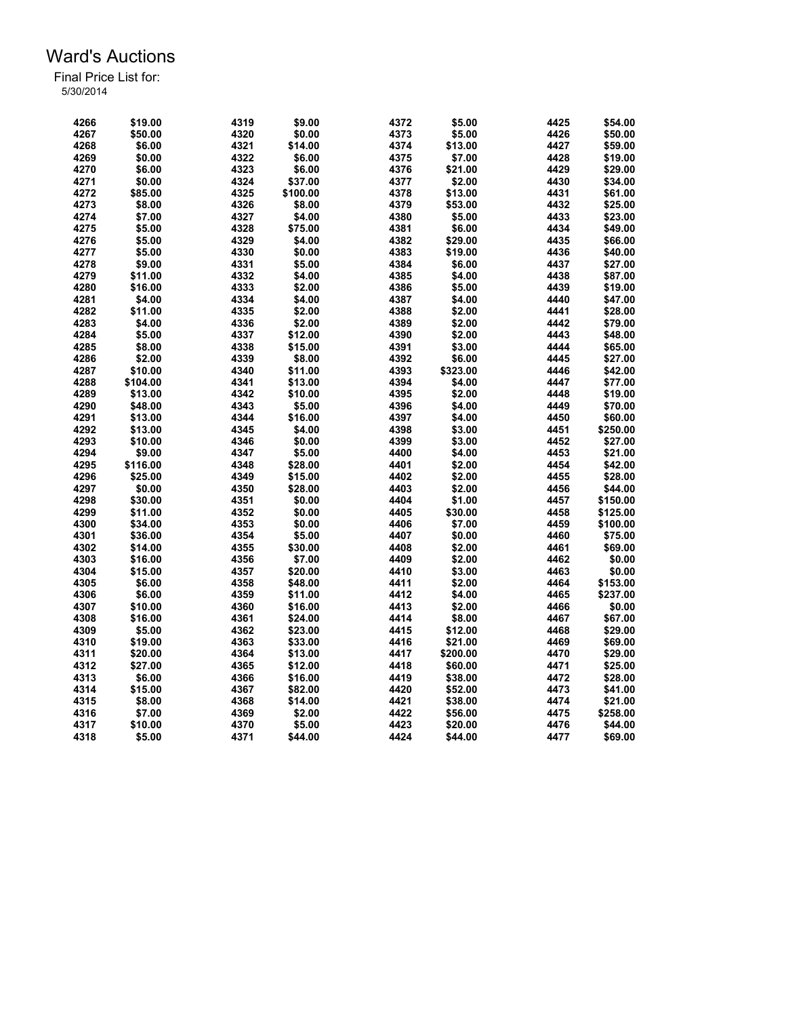| 4266 | \$19.00  | 4319 | \$9.00   | 4372 | \$5.00           | 4425 | \$54.00  |
|------|----------|------|----------|------|------------------|------|----------|
| 4267 | \$50.00  | 4320 | \$0.00   | 4373 | \$5.00           | 4426 | \$50.00  |
| 4268 | \$6.00   | 4321 | \$14.00  | 4374 | \$13.00          | 4427 | \$59.00  |
| 4269 | \$0.00   | 4322 | \$6.00   | 4375 | \$7.00           | 4428 | \$19.00  |
| 4270 | \$6.00   | 4323 | \$6.00   | 4376 | \$21.00          | 4429 | \$29.00  |
| 4271 | \$0.00   | 4324 | \$37.00  | 4377 | \$2.00           | 4430 | \$34.00  |
| 4272 | \$85.00  | 4325 | \$100.00 | 4378 | \$13.00          | 4431 | \$61.00  |
| 4273 | \$8.00   | 4326 | \$8.00   | 4379 | \$53.00          | 4432 | \$25.00  |
| 4274 | \$7.00   | 4327 | \$4.00   | 4380 | \$5.00           | 4433 | \$23.00  |
| 4275 | \$5.00   | 4328 | \$75.00  | 4381 | \$6.00           | 4434 | \$49.00  |
| 4276 | \$5.00   | 4329 | \$4.00   | 4382 | \$29.00          | 4435 | \$66.00  |
| 4277 | \$5.00   | 4330 | \$0.00   | 4383 | \$19.00          | 4436 | \$40.00  |
| 4278 | \$9.00   | 4331 | \$5.00   | 4384 | \$6.00           | 4437 | \$27.00  |
| 4279 | \$11.00  | 4332 | \$4.00   | 4385 | \$4.00           | 4438 | \$87.00  |
| 4280 | \$16.00  | 4333 | \$2.00   | 4386 | \$5.00           | 4439 | \$19.00  |
| 4281 | \$4.00   | 4334 | \$4.00   | 4387 |                  | 4440 | \$47.00  |
|      |          |      |          |      | \$4.00<br>\$2.00 | 4441 |          |
| 4282 | \$11.00  | 4335 | \$2.00   | 4388 |                  |      | \$28.00  |
| 4283 | \$4.00   | 4336 | \$2.00   | 4389 | \$2.00           | 4442 | \$79.00  |
| 4284 | \$5.00   | 4337 | \$12.00  | 4390 | \$2.00           | 4443 | \$48.00  |
| 4285 | \$8.00   | 4338 | \$15.00  | 4391 | \$3.00           | 4444 | \$65.00  |
| 4286 | \$2.00   | 4339 | \$8.00   | 4392 | \$6.00           | 4445 | \$27.00  |
| 4287 | \$10.00  | 4340 | \$11.00  | 4393 | \$323.00         | 4446 | \$42.00  |
| 4288 | \$104.00 | 4341 | \$13.00  | 4394 | \$4.00           | 4447 | \$77.00  |
| 4289 | \$13.00  | 4342 | \$10.00  | 4395 | \$2.00           | 4448 | \$19.00  |
| 4290 | \$48.00  | 4343 | \$5.00   | 4396 | \$4.00           | 4449 | \$70.00  |
| 4291 | \$13.00  | 4344 | \$16.00  | 4397 | \$4.00           | 4450 | \$60.00  |
| 4292 | \$13.00  | 4345 | \$4.00   | 4398 | \$3.00           | 4451 | \$250.00 |
| 4293 | \$10.00  | 4346 | \$0.00   | 4399 | \$3.00           | 4452 | \$27.00  |
| 4294 | \$9.00   | 4347 | \$5.00   | 4400 | \$4.00           | 4453 | \$21.00  |
| 4295 | \$116.00 | 4348 | \$28.00  | 4401 | \$2.00           | 4454 | \$42.00  |
| 4296 | \$25.00  | 4349 | \$15.00  | 4402 | \$2.00           | 4455 | \$28.00  |
| 4297 | \$0.00   | 4350 | \$28.00  | 4403 | \$2.00           | 4456 | \$44.00  |
| 4298 | \$30.00  | 4351 | \$0.00   | 4404 | \$1.00           | 4457 | \$150.00 |
| 4299 | \$11.00  | 4352 | \$0.00   | 4405 | \$30.00          | 4458 | \$125.00 |
| 4300 | \$34.00  | 4353 | \$0.00   | 4406 | \$7.00           | 4459 | \$100.00 |
| 4301 | \$36.00  | 4354 | \$5.00   | 4407 | \$0.00           | 4460 | \$75.00  |
| 4302 | \$14.00  | 4355 | \$30.00  | 4408 | \$2.00           | 4461 | \$69.00  |
| 4303 | \$16.00  | 4356 | \$7.00   | 4409 | \$2.00           | 4462 | \$0.00   |
| 4304 | \$15.00  | 4357 | \$20.00  | 4410 | \$3.00           | 4463 | \$0.00   |
| 4305 | \$6.00   | 4358 | \$48.00  | 4411 | \$2.00           | 4464 | \$153.00 |
| 4306 | \$6.00   | 4359 | \$11.00  | 4412 | \$4.00           | 4465 | \$237.00 |
| 4307 | \$10.00  | 4360 | \$16.00  | 4413 | \$2.00           | 4466 | \$0.00   |
| 4308 | \$16.00  | 4361 | \$24.00  | 4414 | \$8.00           | 4467 | \$67.00  |
| 4309 | \$5.00   | 4362 | \$23.00  | 4415 | \$12.00          | 4468 | \$29.00  |
| 4310 | \$19.00  | 4363 | \$33.00  | 4416 | \$21.00          | 4469 | \$69.00  |
| 4311 | \$20.00  | 4364 | \$13.00  | 4417 | \$200.00         | 4470 | \$29.00  |
| 4312 | \$27.00  | 4365 | \$12.00  | 4418 | \$60.00          | 4471 | \$25.00  |
| 4313 | \$6.00   | 4366 | \$16.00  | 4419 | \$38.00          | 4472 | \$28.00  |
| 4314 | \$15.00  | 4367 | \$82.00  | 4420 | \$52.00          | 4473 | \$41.00  |
| 4315 | \$8.00   | 4368 | \$14.00  | 4421 | \$38.00          | 4474 | \$21.00  |
| 4316 | \$7.00   | 4369 | \$2.00   | 4422 | \$56.00          | 4475 | \$258.00 |
| 4317 | \$10.00  | 4370 | \$5.00   | 4423 | \$20.00          | 4476 | \$44.00  |
|      |          |      |          |      |                  |      |          |
| 4318 | \$5.00   | 4371 | \$44.00  | 4424 | \$44.00          | 4477 | \$69.00  |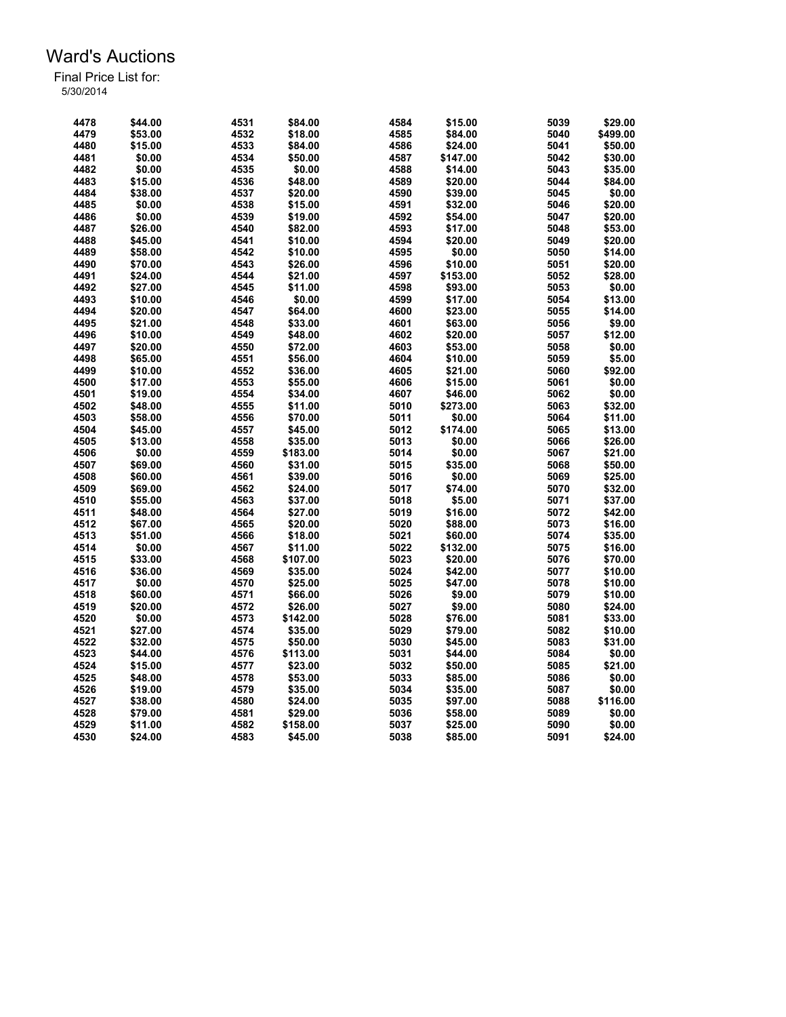| 4478 | \$44.00 | 4531 | \$84.00  | 4584 | \$15.00  | 5039 | \$29.00  |
|------|---------|------|----------|------|----------|------|----------|
| 4479 | \$53.00 | 4532 | \$18.00  | 4585 | \$84.00  | 5040 | \$499.00 |
| 4480 | \$15.00 | 4533 | \$84.00  | 4586 | \$24.00  | 5041 | \$50.00  |
| 4481 | \$0.00  | 4534 | \$50.00  | 4587 | \$147.00 | 5042 | \$30.00  |
| 4482 | \$0.00  | 4535 | \$0.00   | 4588 | \$14.00  | 5043 | \$35.00  |
| 4483 | \$15.00 | 4536 | \$48.00  | 4589 | \$20.00  | 5044 | \$84.00  |
| 4484 | \$38.00 | 4537 | \$20.00  | 4590 | \$39.00  | 5045 | \$0.00   |
| 4485 | \$0.00  | 4538 | \$15.00  | 4591 | \$32.00  | 5046 | \$20.00  |
| 4486 | \$0.00  | 4539 | \$19.00  | 4592 | \$54.00  | 5047 | \$20.00  |
| 4487 | \$26.00 | 4540 | \$82.00  | 4593 | \$17.00  | 5048 | \$53.00  |
| 4488 | \$45.00 | 4541 | \$10.00  | 4594 | \$20.00  | 5049 | \$20.00  |
| 4489 | \$58.00 | 4542 | \$10.00  | 4595 | \$0.00   | 5050 | \$14.00  |
| 4490 | \$70.00 | 4543 | \$26.00  | 4596 | \$10.00  | 5051 | \$20.00  |
| 4491 | \$24.00 | 4544 | \$21.00  | 4597 | \$153.00 | 5052 | \$28.00  |
| 4492 | \$27.00 | 4545 | \$11.00  | 4598 | \$93.00  | 5053 | \$0.00   |
| 4493 | \$10.00 | 4546 | \$0.00   | 4599 | \$17.00  | 5054 | \$13.00  |
| 4494 | \$20.00 | 4547 | \$64.00  | 4600 | \$23.00  | 5055 | \$14.00  |
| 4495 | \$21.00 | 4548 | \$33.00  | 4601 | \$63.00  | 5056 | \$9.00   |
| 4496 | \$10.00 | 4549 | \$48.00  | 4602 | \$20.00  | 5057 | \$12.00  |
| 4497 | \$20.00 | 4550 | \$72.00  | 4603 | \$53.00  | 5058 | \$0.00   |
| 4498 | \$65.00 | 4551 |          | 4604 |          | 5059 | \$5.00   |
| 4499 |         |      | \$56.00  | 4605 | \$10.00  | 5060 | \$92.00  |
|      | \$10.00 | 4552 | \$36.00  |      | \$21.00  |      |          |
| 4500 | \$17.00 | 4553 | \$55.00  | 4606 | \$15.00  | 5061 | \$0.00   |
| 4501 | \$19.00 | 4554 | \$34.00  | 4607 | \$46.00  | 5062 | \$0.00   |
| 4502 | \$48.00 | 4555 | \$11.00  | 5010 | \$273.00 | 5063 | \$32.00  |
| 4503 | \$58.00 | 4556 | \$70.00  | 5011 | \$0.00   | 5064 | \$11.00  |
| 4504 | \$45.00 | 4557 | \$45.00  | 5012 | \$174.00 | 5065 | \$13.00  |
| 4505 | \$13.00 | 4558 | \$35.00  | 5013 | \$0.00   | 5066 | \$26.00  |
| 4506 | \$0.00  | 4559 | \$183.00 | 5014 | \$0.00   | 5067 | \$21.00  |
| 4507 | \$69.00 | 4560 | \$31.00  | 5015 | \$35.00  | 5068 | \$50.00  |
| 4508 | \$60.00 | 4561 | \$39.00  | 5016 | \$0.00   | 5069 | \$25.00  |
| 4509 | \$69.00 | 4562 | \$24.00  | 5017 | \$74.00  | 5070 | \$32.00  |
| 4510 | \$55.00 | 4563 | \$37.00  | 5018 | \$5.00   | 5071 | \$37.00  |
| 4511 | \$48.00 | 4564 | \$27.00  | 5019 | \$16.00  | 5072 | \$42.00  |
| 4512 | \$67.00 | 4565 | \$20.00  | 5020 | \$88.00  | 5073 | \$16.00  |
| 4513 | \$51.00 | 4566 | \$18.00  | 5021 | \$60.00  | 5074 | \$35.00  |
| 4514 | \$0.00  | 4567 | \$11.00  | 5022 | \$132.00 | 5075 | \$16.00  |
| 4515 | \$33.00 | 4568 | \$107.00 | 5023 | \$20.00  | 5076 | \$70.00  |
| 4516 | \$36.00 | 4569 | \$35.00  | 5024 | \$42.00  | 5077 | \$10.00  |
| 4517 | \$0.00  | 4570 | \$25.00  | 5025 | \$47.00  | 5078 | \$10.00  |
| 4518 | \$60.00 | 4571 | \$66.00  | 5026 | \$9.00   | 5079 | \$10.00  |
| 4519 | \$20.00 | 4572 | \$26.00  | 5027 | \$9.00   | 5080 | \$24.00  |
| 4520 | \$0.00  | 4573 | \$142.00 | 5028 | \$76.00  | 5081 | \$33.00  |
| 4521 | \$27.00 | 4574 | \$35.00  | 5029 | \$79.00  | 5082 | \$10.00  |
| 4522 | \$32.00 | 4575 | \$50.00  | 5030 | \$45.00  | 5083 | \$31.00  |
| 4523 | \$44.00 | 4576 | \$113.00 | 5031 | \$44.00  | 5084 | \$0.00   |
| 4524 | \$15.00 | 4577 | \$23.00  | 5032 | \$50.00  | 5085 | \$21.00  |
| 4525 | \$48.00 | 4578 | \$53.00  | 5033 | \$85.00  | 5086 | \$0.00   |
| 4526 | \$19.00 | 4579 | \$35.00  | 5034 | \$35.00  | 5087 | \$0.00   |
| 4527 | \$38.00 | 4580 | \$24.00  | 5035 | \$97.00  | 5088 | \$116.00 |
| 4528 | \$79.00 | 4581 | \$29.00  | 5036 | \$58.00  | 5089 | \$0.00   |
| 4529 | \$11.00 | 4582 | \$158.00 | 5037 | \$25.00  | 5090 | \$0.00   |
| 4530 | \$24.00 | 4583 | \$45.00  | 5038 | \$85.00  | 5091 | \$24.00  |
|      |         |      |          |      |          |      |          |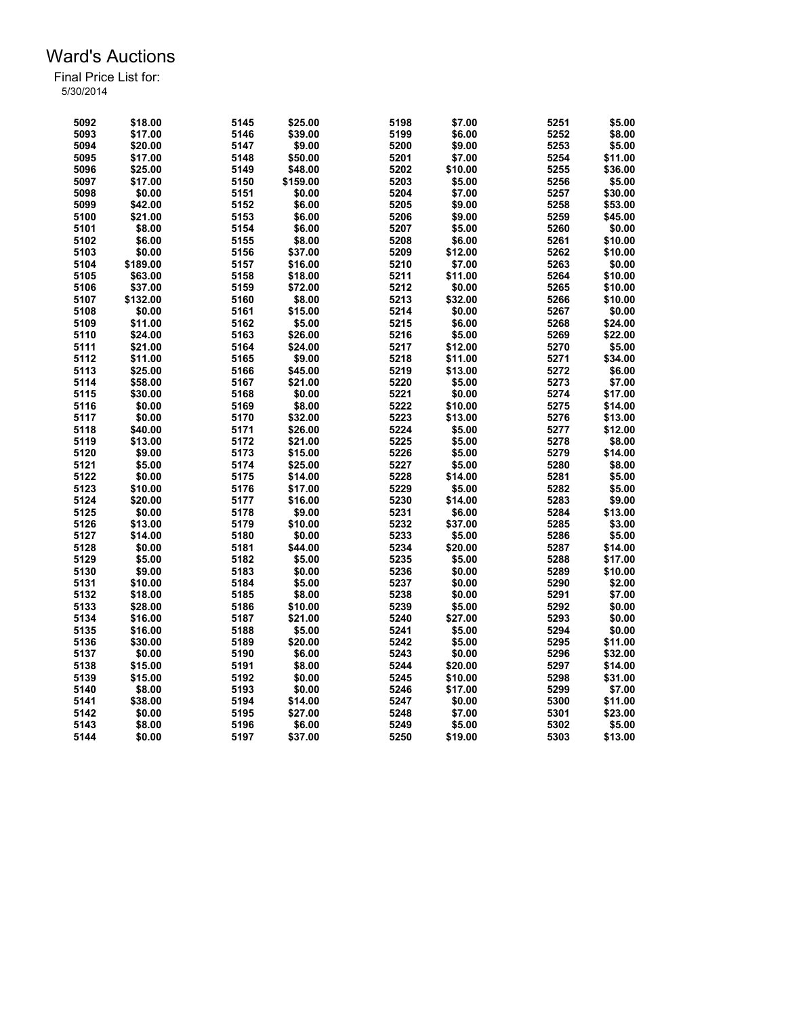| 5092 | \$18.00  | 5145 | \$25.00  | 5198 | \$7.00  | 5251 | \$5.00  |
|------|----------|------|----------|------|---------|------|---------|
| 5093 | \$17.00  | 5146 | \$39.00  | 5199 | \$6.00  | 5252 | \$8.00  |
| 5094 | \$20.00  | 5147 | \$9.00   | 5200 | \$9.00  | 5253 | \$5.00  |
| 5095 | \$17.00  | 5148 | \$50.00  | 5201 | \$7.00  | 5254 | \$11.00 |
| 5096 | \$25.00  | 5149 | \$48.00  | 5202 | \$10.00 | 5255 | \$36.00 |
| 5097 | \$17.00  | 5150 | \$159.00 | 5203 | \$5.00  | 5256 | \$5.00  |
| 5098 | \$0.00   | 5151 | \$0.00   | 5204 | \$7.00  | 5257 | \$30.00 |
| 5099 | \$42.00  | 5152 | \$6.00   | 5205 | \$9.00  | 5258 | \$53.00 |
| 5100 | \$21.00  | 5153 | \$6.00   | 5206 | \$9.00  | 5259 | \$45.00 |
| 5101 | \$8.00   | 5154 | \$6.00   | 5207 | \$5.00  | 5260 | \$0.00  |
| 5102 | \$6.00   | 5155 | \$8.00   | 5208 | \$6.00  | 5261 | \$10.00 |
| 5103 | \$0.00   | 5156 | \$37.00  | 5209 | \$12.00 | 5262 | \$10.00 |
| 5104 | \$189.00 | 5157 | \$16.00  | 5210 | \$7.00  | 5263 | \$0.00  |
| 5105 | \$63.00  | 5158 | \$18.00  | 5211 | \$11.00 | 5264 | \$10.00 |
| 5106 | \$37.00  | 5159 | \$72.00  | 5212 | \$0.00  | 5265 | \$10.00 |
| 5107 | \$132.00 | 5160 | \$8.00   | 5213 | \$32.00 | 5266 | \$10.00 |
|      | \$0.00   | 5161 | \$15.00  | 5214 | \$0.00  | 5267 | \$0.00  |
| 5108 |          |      |          |      |         |      |         |
| 5109 | \$11.00  | 5162 | \$5.00   | 5215 | \$6.00  | 5268 | \$24.00 |
| 5110 | \$24.00  | 5163 | \$26.00  | 5216 | \$5.00  | 5269 | \$22.00 |
| 5111 | \$21.00  | 5164 | \$24.00  | 5217 | \$12.00 | 5270 | \$5.00  |
| 5112 | \$11.00  | 5165 | \$9.00   | 5218 | \$11.00 | 5271 | \$34.00 |
| 5113 | \$25.00  | 5166 | \$45.00  | 5219 | \$13.00 | 5272 | \$6.00  |
| 5114 | \$58.00  | 5167 | \$21.00  | 5220 | \$5.00  | 5273 | \$7.00  |
| 5115 | \$30.00  | 5168 | \$0.00   | 5221 | \$0.00  | 5274 | \$17.00 |
| 5116 | \$0.00   | 5169 | \$8.00   | 5222 | \$10.00 | 5275 | \$14.00 |
| 5117 | \$0.00   | 5170 | \$32.00  | 5223 | \$13.00 | 5276 | \$13.00 |
| 5118 | \$40.00  | 5171 | \$26.00  | 5224 | \$5.00  | 5277 | \$12.00 |
| 5119 | \$13.00  | 5172 | \$21.00  | 5225 | \$5.00  | 5278 | \$8.00  |
| 5120 | \$9.00   | 5173 | \$15.00  | 5226 | \$5.00  | 5279 | \$14.00 |
| 5121 | \$5.00   | 5174 | \$25.00  | 5227 | \$5.00  | 5280 | \$8.00  |
| 5122 | \$0.00   | 5175 | \$14.00  | 5228 | \$14.00 | 5281 | \$5.00  |
| 5123 | \$10.00  | 5176 | \$17.00  | 5229 | \$5.00  | 5282 | \$5.00  |
| 5124 | \$20.00  | 5177 | \$16.00  | 5230 | \$14.00 | 5283 | \$9.00  |
| 5125 | \$0.00   | 5178 | \$9.00   | 5231 | \$6.00  | 5284 | \$13.00 |
| 5126 | \$13.00  | 5179 | \$10.00  | 5232 | \$37.00 | 5285 | \$3.00  |
| 5127 | \$14.00  | 5180 | \$0.00   | 5233 | \$5.00  | 5286 | \$5.00  |
| 5128 | \$0.00   | 5181 | \$44.00  | 5234 | \$20.00 | 5287 | \$14.00 |
| 5129 | \$5.00   | 5182 | \$5.00   | 5235 | \$5.00  | 5288 | \$17.00 |
| 5130 | \$9.00   | 5183 | \$0.00   | 5236 | \$0.00  | 5289 | \$10.00 |
| 5131 | \$10.00  | 5184 | \$5.00   | 5237 | \$0.00  | 5290 | \$2.00  |
| 5132 | \$18.00  | 5185 | \$8.00   | 5238 | \$0.00  | 5291 | \$7.00  |
| 5133 | \$28.00  | 5186 | \$10.00  | 5239 | \$5.00  | 5292 | \$0.00  |
| 5134 | \$16.00  | 5187 | \$21.00  | 5240 | \$27.00 | 5293 | \$0.00  |
| 5135 | \$16.00  | 5188 | \$5.00   | 5241 | \$5.00  | 5294 | \$0.00  |
| 5136 | \$30.00  | 5189 | \$20.00  | 5242 | \$5.00  | 5295 | \$11.00 |
|      |          |      |          |      |         |      |         |
| 5137 | \$0.00   | 5190 | \$6.00   | 5243 | \$0.00  | 5296 | \$32.00 |
| 5138 | \$15.00  | 5191 | \$8.00   | 5244 | \$20.00 | 5297 | \$14.00 |
| 5139 | \$15.00  | 5192 | \$0.00   | 5245 | \$10.00 | 5298 | \$31.00 |
| 5140 | \$8.00   | 5193 | \$0.00   | 5246 | \$17.00 | 5299 | \$7.00  |
| 5141 | \$38.00  | 5194 | \$14.00  | 5247 | \$0.00  | 5300 | \$11.00 |
| 5142 | \$0.00   | 5195 | \$27.00  | 5248 | \$7.00  | 5301 | \$23.00 |
| 5143 | \$8.00   | 5196 | \$6.00   | 5249 | \$5.00  | 5302 | \$5.00  |
| 5144 | \$0.00   | 5197 | \$37.00  | 5250 | \$19.00 | 5303 | \$13.00 |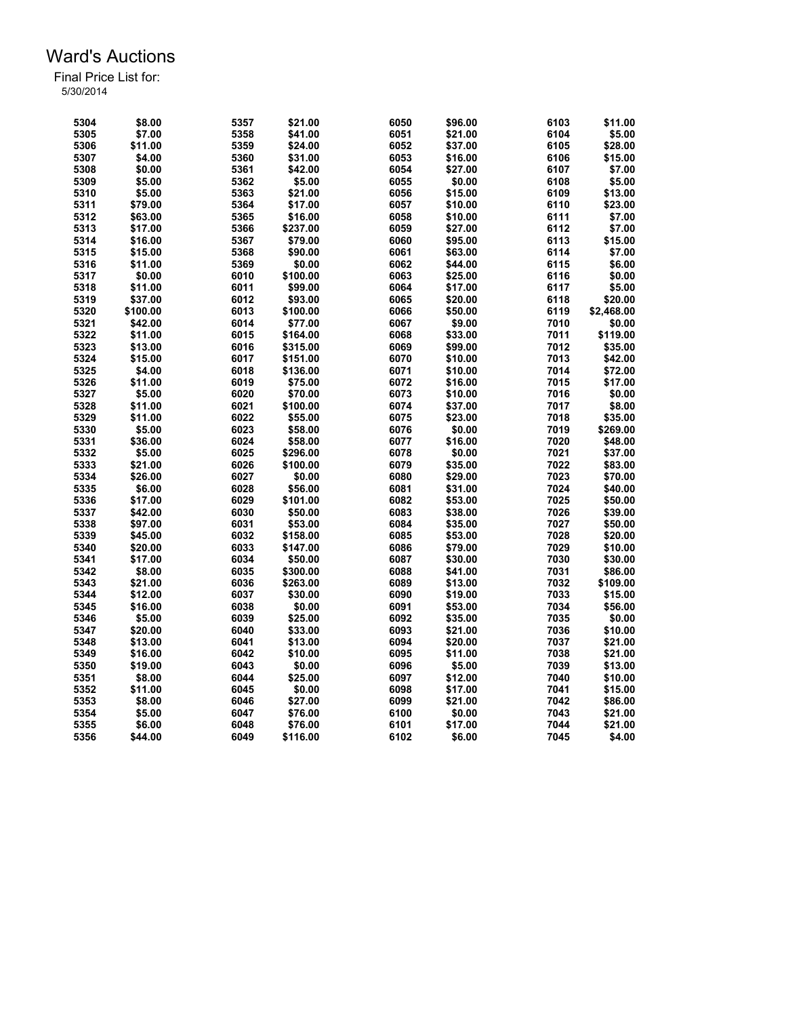| 5304 | \$8.00   | 5357 | \$21.00  | 6050 | \$96.00 | 6103 | \$11.00    |
|------|----------|------|----------|------|---------|------|------------|
| 5305 | \$7.00   | 5358 | \$41.00  | 6051 | \$21.00 | 6104 | \$5.00     |
| 5306 | \$11.00  | 5359 | \$24.00  | 6052 | \$37.00 | 6105 | \$28.00    |
| 5307 | \$4.00   | 5360 | \$31.00  | 6053 | \$16.00 | 6106 | \$15.00    |
| 5308 | \$0.00   | 5361 | \$42.00  | 6054 | \$27.00 | 6107 | \$7.00     |
| 5309 | \$5.00   | 5362 | \$5.00   | 6055 | \$0.00  | 6108 | \$5.00     |
| 5310 | \$5.00   | 5363 | \$21.00  | 6056 | \$15.00 | 6109 | \$13.00    |
| 5311 | \$79.00  | 5364 | \$17.00  | 6057 | \$10.00 | 6110 | \$23.00    |
| 5312 | \$63.00  | 5365 | \$16.00  | 6058 | \$10.00 | 6111 | \$7.00     |
| 5313 | \$17.00  | 5366 | \$237.00 | 6059 | \$27.00 | 6112 | \$7.00     |
| 5314 | \$16.00  | 5367 | \$79.00  | 6060 | \$95.00 | 6113 | \$15.00    |
| 5315 | \$15.00  | 5368 | \$90.00  | 6061 | \$63.00 | 6114 | \$7.00     |
| 5316 | \$11.00  | 5369 | \$0.00   | 6062 | \$44.00 | 6115 | \$6.00     |
| 5317 | \$0.00   | 6010 | \$100.00 | 6063 | \$25.00 | 6116 | \$0.00     |
| 5318 | \$11.00  | 6011 | \$99.00  | 6064 | \$17.00 | 6117 | \$5.00     |
| 5319 | \$37.00  | 6012 | \$93.00  | 6065 | \$20.00 | 6118 | \$20.00    |
| 5320 | \$100.00 | 6013 | \$100.00 | 6066 | \$50.00 | 6119 | \$2,468.00 |
| 5321 |          |      |          |      |         |      |            |
|      | \$42.00  | 6014 | \$77.00  | 6067 | \$9.00  | 7010 | \$0.00     |
| 5322 | \$11.00  | 6015 | \$164.00 | 6068 | \$33.00 | 7011 | \$119.00   |
| 5323 | \$13.00  | 6016 | \$315.00 | 6069 | \$99.00 | 7012 | \$35.00    |
| 5324 | \$15.00  | 6017 | \$151.00 | 6070 | \$10.00 | 7013 | \$42.00    |
| 5325 | \$4.00   | 6018 | \$136.00 | 6071 | \$10.00 | 7014 | \$72.00    |
| 5326 | \$11.00  | 6019 | \$75.00  | 6072 | \$16.00 | 7015 | \$17.00    |
| 5327 | \$5.00   | 6020 | \$70.00  | 6073 | \$10.00 | 7016 | \$0.00     |
| 5328 | \$11.00  | 6021 | \$100.00 | 6074 | \$37.00 | 7017 | \$8.00     |
| 5329 | \$11.00  | 6022 | \$55.00  | 6075 | \$23.00 | 7018 | \$35.00    |
| 5330 | \$5.00   | 6023 | \$58.00  | 6076 | \$0.00  | 7019 | \$269.00   |
| 5331 | \$36.00  | 6024 | \$58.00  | 6077 | \$16.00 | 7020 | \$48.00    |
| 5332 | \$5.00   | 6025 | \$296.00 | 6078 | \$0.00  | 7021 | \$37.00    |
| 5333 | \$21.00  | 6026 | \$100.00 | 6079 | \$35.00 | 7022 | \$83.00    |
| 5334 | \$26.00  | 6027 | \$0.00   | 6080 | \$29.00 | 7023 | \$70.00    |
| 5335 | \$6.00   | 6028 | \$56.00  | 6081 | \$31.00 | 7024 | \$40.00    |
| 5336 | \$17.00  | 6029 | \$101.00 | 6082 | \$53.00 | 7025 | \$50.00    |
| 5337 | \$42.00  | 6030 | \$50.00  | 6083 | \$38.00 | 7026 | \$39.00    |
| 5338 | \$97.00  | 6031 | \$53.00  | 6084 | \$35.00 | 7027 | \$50.00    |
| 5339 | \$45.00  | 6032 | \$158.00 | 6085 | \$53.00 | 7028 | \$20.00    |
| 5340 | \$20.00  | 6033 | \$147.00 | 6086 | \$79.00 | 7029 | \$10.00    |
| 5341 | \$17.00  | 6034 | \$50.00  | 6087 | \$30.00 | 7030 | \$30.00    |
| 5342 | \$8.00   | 6035 | \$300.00 | 6088 | \$41.00 | 7031 | \$86.00    |
| 5343 | \$21.00  | 6036 | \$263.00 | 6089 | \$13.00 | 7032 | \$109.00   |
| 5344 | \$12.00  | 6037 | \$30.00  | 6090 | \$19.00 | 7033 | \$15.00    |
| 5345 | \$16.00  | 6038 | \$0.00   | 6091 | \$53.00 | 7034 | \$56.00    |
| 5346 | \$5.00   | 6039 | \$25.00  | 6092 | \$35.00 | 7035 | \$0.00     |
| 5347 | \$20.00  | 6040 | \$33.00  | 6093 | \$21.00 | 7036 | \$10.00    |
| 5348 | \$13.00  | 6041 | \$13.00  | 6094 | \$20.00 | 7037 | \$21.00    |
| 5349 | \$16.00  | 6042 | \$10.00  | 6095 | \$11.00 | 7038 | \$21.00    |
| 5350 | \$19.00  | 6043 | \$0.00   | 6096 | \$5.00  | 7039 | \$13.00    |
| 5351 | \$8.00   | 6044 | \$25.00  | 6097 | \$12.00 | 7040 | \$10.00    |
|      | \$11.00  | 6045 | \$0.00   | 6098 | \$17.00 | 7041 | \$15.00    |
| 5352 | \$8.00   | 6046 | \$27.00  |      |         | 7042 |            |
| 5353 |          |      |          | 6099 | \$21.00 |      | \$86.00    |
| 5354 | \$5.00   | 6047 | \$76.00  | 6100 | \$0.00  | 7043 | \$21.00    |
| 5355 | \$6.00   | 6048 | \$76.00  | 6101 | \$17.00 | 7044 | \$21.00    |
| 5356 | \$44.00  | 6049 | \$116.00 | 6102 | \$6.00  | 7045 | \$4.00     |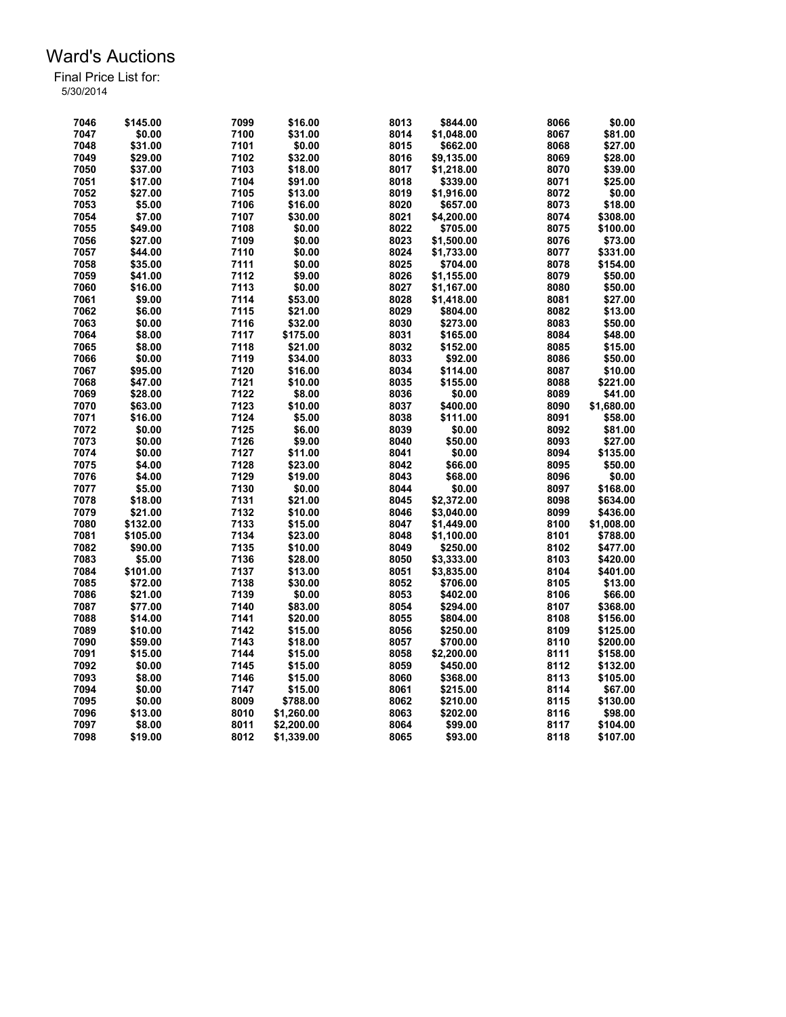| 7046 | \$145.00 | 7099 | \$16.00    | 8013 | \$844.00   | 8066 | \$0.00     |
|------|----------|------|------------|------|------------|------|------------|
| 7047 | \$0.00   | 7100 | \$31.00    | 8014 | \$1,048.00 | 8067 | \$81.00    |
| 7048 | \$31.00  | 7101 | \$0.00     | 8015 | \$662.00   | 8068 | \$27.00    |
| 7049 | \$29.00  | 7102 | \$32.00    | 8016 | \$9,135.00 | 8069 | \$28.00    |
| 7050 | \$37.00  | 7103 | \$18.00    | 8017 | \$1,218.00 | 8070 | \$39.00    |
|      |          |      |            | 8018 |            |      |            |
| 7051 | \$17.00  | 7104 | \$91.00    |      | \$339.00   | 8071 | \$25.00    |
| 7052 | \$27.00  | 7105 | \$13.00    | 8019 | \$1,916.00 | 8072 | \$0.00     |
| 7053 | \$5.00   | 7106 | \$16.00    | 8020 | \$657.00   | 8073 | \$18.00    |
| 7054 | \$7.00   | 7107 | \$30.00    | 8021 | \$4,200.00 | 8074 | \$308.00   |
| 7055 | \$49.00  | 7108 | \$0.00     | 8022 | \$705.00   | 8075 | \$100.00   |
| 7056 | \$27.00  | 7109 | \$0.00     | 8023 | \$1,500.00 | 8076 | \$73.00    |
| 7057 | \$44.00  | 7110 | \$0.00     | 8024 | \$1,733.00 | 8077 | \$331.00   |
| 7058 | \$35.00  | 7111 | \$0.00     | 8025 | \$704.00   | 8078 | \$154.00   |
| 7059 | \$41.00  | 7112 | \$9.00     | 8026 | \$1,155.00 | 8079 | \$50.00    |
| 7060 | \$16.00  | 7113 | \$0.00     | 8027 | \$1,167.00 | 8080 | \$50.00    |
| 7061 | \$9.00   | 7114 | \$53.00    | 8028 | \$1,418.00 | 8081 | \$27.00    |
| 7062 | \$6.00   | 7115 | \$21.00    | 8029 | \$804.00   | 8082 | \$13.00    |
| 7063 | \$0.00   | 7116 | \$32.00    | 8030 | \$273.00   | 8083 | \$50.00    |
| 7064 | \$8.00   | 7117 | \$175.00   | 8031 | \$165.00   | 8084 | \$48.00    |
| 7065 | \$8.00   | 7118 | \$21.00    | 8032 | \$152.00   | 8085 | \$15.00    |
| 7066 | \$0.00   | 7119 | \$34.00    | 8033 | \$92.00    | 8086 | \$50.00    |
| 7067 | \$95.00  | 7120 | \$16.00    | 8034 | \$114.00   | 8087 | \$10.00    |
| 7068 | \$47.00  | 7121 | \$10.00    | 8035 | \$155.00   | 8088 | \$221.00   |
| 7069 | \$28.00  | 7122 | \$8.00     | 8036 | \$0.00     | 8089 | \$41.00    |
| 7070 | \$63.00  | 7123 | \$10.00    | 8037 | \$400.00   | 8090 | \$1,680.00 |
| 7071 | \$16.00  | 7124 | \$5.00     | 8038 | \$111.00   | 8091 | \$58.00    |
| 7072 | \$0.00   | 7125 | \$6.00     | 8039 | \$0.00     | 8092 | \$81.00    |
| 7073 | \$0.00   | 7126 | \$9.00     | 8040 | \$50.00    | 8093 | \$27.00    |
|      |          |      |            |      |            |      |            |
| 7074 | \$0.00   | 7127 | \$11.00    | 8041 | \$0.00     | 8094 | \$135.00   |
| 7075 | \$4.00   | 7128 | \$23.00    | 8042 | \$66.00    | 8095 | \$50.00    |
| 7076 | \$4.00   | 7129 | \$19.00    | 8043 | \$68.00    | 8096 | \$0.00     |
| 7077 | \$5.00   | 7130 | \$0.00     | 8044 | \$0.00     | 8097 | \$168.00   |
| 7078 | \$18.00  | 7131 | \$21.00    | 8045 | \$2,372.00 | 8098 | \$634.00   |
| 7079 | \$21.00  | 7132 | \$10.00    | 8046 | \$3,040.00 | 8099 | \$436.00   |
| 7080 | \$132.00 | 7133 | \$15.00    | 8047 | \$1,449.00 | 8100 | \$1,008.00 |
| 7081 | \$105.00 | 7134 | \$23.00    | 8048 | \$1,100.00 | 8101 | \$788.00   |
| 7082 | \$90.00  | 7135 | \$10.00    | 8049 | \$250.00   | 8102 | \$477.00   |
| 7083 | \$5.00   | 7136 | \$28.00    | 8050 | \$3,333.00 | 8103 | \$420.00   |
| 7084 | \$101.00 | 7137 | \$13.00    | 8051 | \$3,835.00 | 8104 | \$401.00   |
| 7085 | \$72.00  | 7138 | \$30.00    | 8052 | \$706.00   | 8105 | \$13.00    |
| 7086 | \$21.00  | 7139 | \$0.00     | 8053 | \$402.00   | 8106 | \$66.00    |
| 7087 | \$77.00  | 7140 | \$83.00    | 8054 | \$294.00   | 8107 | \$368.00   |
| 7088 | \$14.00  | 7141 | \$20.00    | 8055 | \$804.00   | 8108 | \$156.00   |
| 7089 | \$10.00  | 7142 | \$15.00    | 8056 | \$250.00   | 8109 | \$125.00   |
| 7090 | \$59.00  | 7143 | \$18.00    | 8057 | \$700.00   | 8110 | \$200.00   |
| 7091 | \$15.00  | 7144 | \$15.00    | 8058 | \$2,200.00 | 8111 | \$158.00   |
| 7092 | \$0.00   | 7145 | \$15.00    | 8059 | \$450.00   | 8112 | \$132.00   |
| 7093 | \$8.00   | 7146 | \$15.00    | 8060 | \$368.00   | 8113 | \$105.00   |
| 7094 | \$0.00   | 7147 | \$15.00    | 8061 | \$215.00   | 8114 | \$67.00    |
| 7095 | \$0.00   | 8009 | \$788.00   | 8062 | \$210.00   | 8115 | \$130.00   |
| 7096 | \$13.00  | 8010 | \$1,260.00 | 8063 | \$202.00   | 8116 | \$98.00    |
| 7097 | \$8.00   | 8011 | \$2,200.00 | 8064 | \$99.00    | 8117 | \$104.00   |
| 7098 | \$19.00  | 8012 | \$1,339.00 | 8065 | \$93.00    | 8118 | \$107.00   |
|      |          |      |            |      |            |      |            |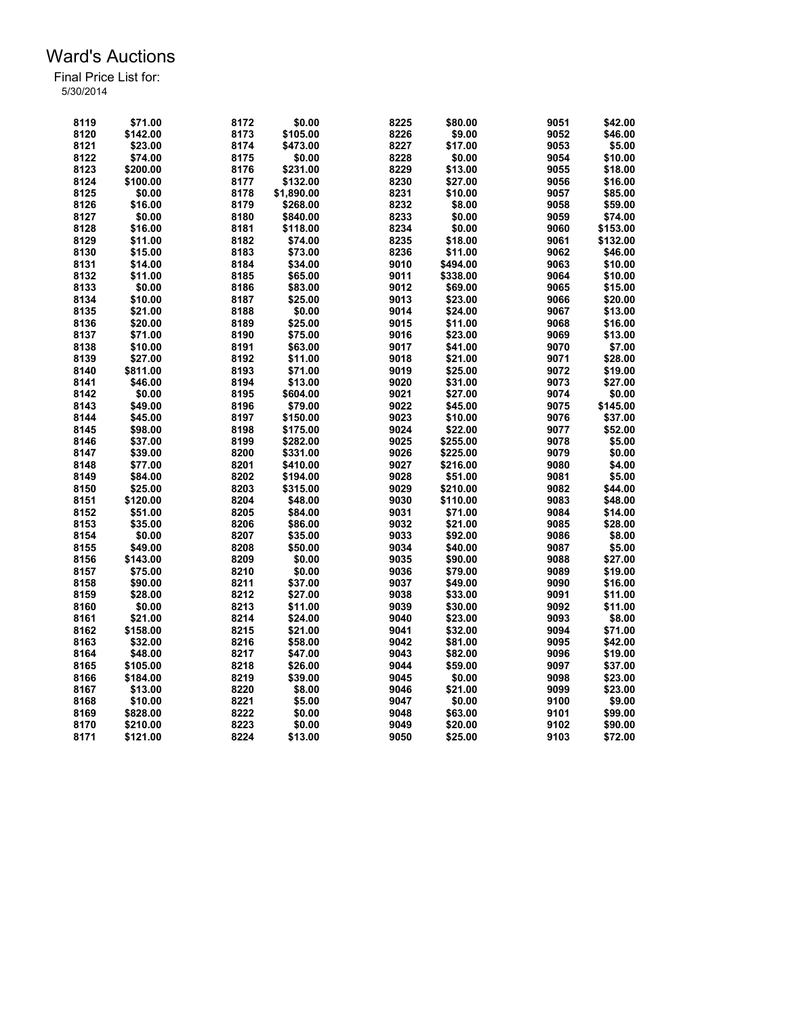| 8119 | \$71.00  | 8172         | \$0.00     | 8225 | \$80.00  | 9051 | \$42.00            |
|------|----------|--------------|------------|------|----------|------|--------------------|
| 8120 | \$142.00 | 8173         | \$105.00   | 8226 | \$9.00   | 9052 | \$46.00            |
| 8121 | \$23.00  | 8174         | \$473.00   | 8227 | \$17.00  | 9053 | \$5.00             |
| 8122 | \$74.00  | 8175         | \$0.00     | 8228 | \$0.00   | 9054 | \$10.00            |
| 8123 | \$200.00 | 8176         | \$231.00   | 8229 | \$13.00  | 9055 | \$18.00            |
| 8124 | \$100.00 | 8177         | \$132.00   | 8230 | \$27.00  | 9056 | \$16.00            |
| 8125 | \$0.00   | 8178         | \$1,890.00 | 8231 | \$10.00  | 9057 | \$85.00            |
| 8126 | \$16.00  | 8179         | \$268.00   | 8232 | \$8.00   | 9058 | \$59.00            |
| 8127 | \$0.00   | 8180         | \$840.00   | 8233 | \$0.00   | 9059 | \$74.00            |
| 8128 | \$16.00  | 8181         | \$118.00   | 8234 | \$0.00   | 9060 | \$153.00           |
| 8129 | \$11.00  | 8182         | \$74.00    | 8235 | \$18.00  | 9061 | \$132.00           |
| 8130 | \$15.00  | 8183         | \$73.00    | 8236 | \$11.00  | 9062 | \$46.00            |
| 8131 | \$14.00  | 8184         | \$34.00    | 9010 | \$494.00 | 9063 | \$10.00            |
| 8132 | \$11.00  | 8185         | \$65.00    | 9011 | \$338.00 | 9064 |                    |
| 8133 | \$0.00   | 8186         | \$83.00    | 9012 | \$69.00  | 9065 | \$10.00<br>\$15.00 |
|      |          |              |            |      |          |      |                    |
| 8134 | \$10.00  | 8187         | \$25.00    | 9013 | \$23.00  | 9066 | \$20.00            |
| 8135 | \$21.00  | 8188         | \$0.00     | 9014 | \$24.00  | 9067 | \$13.00            |
| 8136 | \$20.00  | 8189         | \$25.00    | 9015 | \$11.00  | 9068 | \$16.00            |
| 8137 | \$71.00  | 8190         | \$75.00    | 9016 | \$23.00  | 9069 | \$13.00            |
| 8138 | \$10.00  | 8191         | \$63.00    | 9017 | \$41.00  | 9070 | \$7.00             |
| 8139 | \$27.00  | 8192         | \$11.00    | 9018 | \$21.00  | 9071 | \$28.00            |
| 8140 | \$811.00 | 8193         | \$71.00    | 9019 | \$25.00  | 9072 | \$19.00            |
| 8141 | \$46.00  | 8194         | \$13.00    | 9020 | \$31.00  | 9073 | \$27.00            |
| 8142 | \$0.00   | 8195         | \$604.00   | 9021 | \$27.00  | 9074 | \$0.00             |
| 8143 | \$49.00  | 8196         | \$79.00    | 9022 | \$45.00  | 9075 | \$145.00           |
| 8144 | \$45.00  | 8197         | \$150.00   | 9023 | \$10.00  | 9076 | \$37.00            |
| 8145 | \$98.00  | 8198         | \$175.00   | 9024 | \$22.00  | 9077 | \$52.00            |
| 8146 | \$37.00  | 8199         | \$282.00   | 9025 | \$255.00 | 9078 | \$5.00             |
| 8147 | \$39.00  | 8200         | \$331.00   | 9026 | \$225.00 | 9079 | \$0.00             |
| 8148 | \$77.00  | 8201         | \$410.00   | 9027 | \$216.00 | 9080 | \$4.00             |
| 8149 | \$84.00  | 8202         | \$194.00   | 9028 | \$51.00  | 9081 | \$5.00             |
| 8150 | \$25.00  | 8203         | \$315.00   | 9029 | \$210.00 | 9082 | \$44.00            |
| 8151 | \$120.00 | 8204         | \$48.00    | 9030 | \$110.00 | 9083 | \$48.00            |
| 8152 | \$51.00  | 8205         | \$84.00    | 9031 | \$71.00  | 9084 | \$14.00            |
| 8153 | \$35.00  | 8206         | \$86.00    | 9032 | \$21.00  | 9085 | \$28.00            |
| 8154 | \$0.00   | 8207         | \$35.00    | 9033 | \$92.00  | 9086 | \$8.00             |
| 8155 | \$49.00  | 8208         | \$50.00    | 9034 | \$40.00  | 9087 | \$5.00             |
| 8156 | \$143.00 | 8209         | \$0.00     | 9035 | \$90.00  | 9088 | \$27.00            |
| 8157 | \$75.00  | 8210         | \$0.00     | 9036 | \$79.00  | 9089 | \$19.00            |
| 8158 | \$90.00  | 8211         | \$37.00    | 9037 | \$49.00  | 9090 | \$16.00            |
| 8159 | \$28.00  | 8212         | \$27.00    | 9038 | \$33.00  | 9091 | \$11.00            |
| 8160 | \$0.00   | 8213         | \$11.00    | 9039 | \$30.00  | 9092 | \$11.00            |
| 8161 | \$21.00  | 8214         | \$24.00    | 9040 | \$23.00  | 9093 | \$8.00             |
| 8162 | \$158.00 | 8215         | \$21.00    | 9041 | \$32.00  | 9094 | \$71.00            |
| 8163 | \$32.00  | 8216         | \$58.00    | 9042 | \$81.00  | 9095 | \$42.00            |
| 8164 | \$48.00  | 8217         | \$47.00    | 9043 | \$82.00  | 9096 | \$19.00            |
| 8165 | \$105.00 | 8218         | \$26.00    | 9044 | \$59.00  | 9097 | \$37.00            |
|      | \$184.00 |              |            | 9045 |          | 9098 |                    |
| 8166 | \$13.00  | 8219<br>8220 | \$39.00    | 9046 | \$0.00   | 9099 | \$23.00<br>\$23.00 |
| 8167 |          |              | \$8.00     |      | \$21.00  |      |                    |
| 8168 | \$10.00  | 8221         | \$5.00     | 9047 | \$0.00   | 9100 | \$9.00             |
| 8169 | \$828.00 | 8222         | \$0.00     | 9048 | \$63.00  | 9101 | \$99.00            |
| 8170 | \$210.00 | 8223         | \$0.00     | 9049 | \$20.00  | 9102 | \$90.00            |
| 8171 | \$121.00 | 8224         | \$13.00    | 9050 | \$25.00  | 9103 | \$72.00            |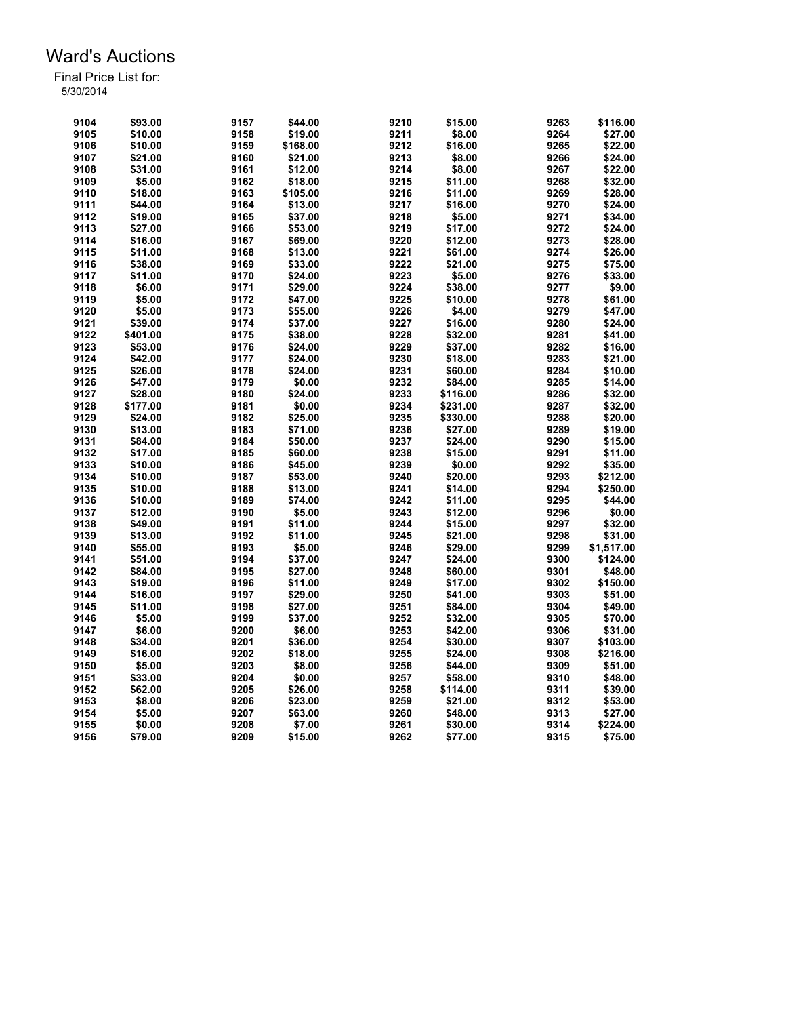| 9104 | \$93.00  | 9157 | \$44.00  | 9210 | \$15.00  | 9263 | \$116.00   |
|------|----------|------|----------|------|----------|------|------------|
| 9105 | \$10.00  | 9158 | \$19.00  | 9211 | \$8.00   | 9264 | \$27.00    |
| 9106 | \$10.00  | 9159 | \$168.00 | 9212 | \$16.00  | 9265 | \$22.00    |
| 9107 | \$21.00  | 9160 | \$21.00  | 9213 | \$8.00   | 9266 | \$24.00    |
| 9108 | \$31.00  | 9161 | \$12.00  | 9214 | \$8.00   | 9267 | \$22.00    |
| 9109 | \$5.00   | 9162 | \$18.00  | 9215 | \$11.00  | 9268 | \$32.00    |
| 9110 | \$18.00  | 9163 | \$105.00 | 9216 | \$11.00  | 9269 | \$28.00    |
| 9111 | \$44.00  | 9164 | \$13.00  | 9217 | \$16.00  | 9270 | \$24.00    |
| 9112 | \$19.00  | 9165 | \$37.00  | 9218 | \$5.00   | 9271 | \$34.00    |
| 9113 | \$27.00  | 9166 | \$53.00  | 9219 | \$17.00  | 9272 | \$24.00    |
| 9114 | \$16.00  | 9167 | \$69.00  | 9220 | \$12.00  | 9273 | \$28.00    |
| 9115 | \$11.00  | 9168 | \$13.00  | 9221 | \$61.00  | 9274 | \$26.00    |
| 9116 | \$38.00  | 9169 | \$33.00  | 9222 | \$21.00  | 9275 | \$75.00    |
| 9117 | \$11.00  | 9170 | \$24.00  | 9223 | \$5.00   | 9276 | \$33.00    |
| 9118 | \$6.00   | 9171 | \$29.00  | 9224 | \$38.00  | 9277 | \$9.00     |
| 9119 | \$5.00   | 9172 | \$47.00  | 9225 | \$10.00  | 9278 | \$61.00    |
| 9120 | \$5.00   | 9173 | \$55.00  | 9226 | \$4.00   | 9279 | \$47.00    |
| 9121 | \$39.00  | 9174 | \$37.00  | 9227 | \$16.00  | 9280 | \$24.00    |
|      |          |      |          |      |          |      |            |
| 9122 | \$401.00 | 9175 | \$38.00  | 9228 | \$32.00  | 9281 | \$41.00    |
| 9123 | \$53.00  | 9176 | \$24.00  | 9229 | \$37.00  | 9282 | \$16.00    |
| 9124 | \$42.00  | 9177 | \$24.00  | 9230 | \$18.00  | 9283 | \$21.00    |
| 9125 | \$26.00  | 9178 | \$24.00  | 9231 | \$60.00  | 9284 | \$10.00    |
| 9126 | \$47.00  | 9179 | \$0.00   | 9232 | \$84.00  | 9285 | \$14.00    |
| 9127 | \$28.00  | 9180 | \$24.00  | 9233 | \$116.00 | 9286 | \$32.00    |
| 9128 | \$177.00 | 9181 | \$0.00   | 9234 | \$231.00 | 9287 | \$32.00    |
| 9129 | \$24.00  | 9182 | \$25.00  | 9235 | \$330.00 | 9288 | \$20.00    |
| 9130 | \$13.00  | 9183 | \$71.00  | 9236 | \$27.00  | 9289 | \$19.00    |
| 9131 | \$84.00  | 9184 | \$50.00  | 9237 | \$24.00  | 9290 | \$15.00    |
| 9132 | \$17.00  | 9185 | \$60.00  | 9238 | \$15.00  | 9291 | \$11.00    |
| 9133 | \$10.00  | 9186 | \$45.00  | 9239 | \$0.00   | 9292 | \$35.00    |
| 9134 | \$10.00  | 9187 | \$53.00  | 9240 | \$20.00  | 9293 | \$212.00   |
| 9135 | \$10.00  | 9188 | \$13.00  | 9241 | \$14.00  | 9294 | \$250.00   |
| 9136 | \$10.00  | 9189 | \$74.00  | 9242 | \$11.00  | 9295 | \$44.00    |
| 9137 | \$12.00  | 9190 | \$5.00   | 9243 | \$12.00  | 9296 | \$0.00     |
| 9138 | \$49.00  | 9191 | \$11.00  | 9244 | \$15.00  | 9297 | \$32.00    |
| 9139 | \$13.00  | 9192 | \$11.00  | 9245 | \$21.00  | 9298 | \$31.00    |
| 9140 | \$55.00  | 9193 | \$5.00   | 9246 | \$29.00  | 9299 | \$1,517.00 |
| 9141 | \$51.00  | 9194 | \$37.00  | 9247 | \$24.00  | 9300 | \$124.00   |
| 9142 | \$84.00  | 9195 | \$27.00  | 9248 | \$60.00  | 9301 | \$48.00    |
| 9143 | \$19.00  | 9196 | \$11.00  | 9249 | \$17.00  | 9302 | \$150.00   |
| 9144 | \$16.00  | 9197 | \$29.00  | 9250 | \$41.00  | 9303 | \$51.00    |
| 9145 | \$11.00  | 9198 | \$27.00  | 9251 | \$84.00  | 9304 | \$49.00    |
| 9146 | \$5.00   | 9199 | \$37.00  | 9252 | \$32.00  | 9305 | \$70.00    |
| 9147 | \$6.00   | 9200 | \$6.00   | 9253 | \$42.00  | 9306 | \$31.00    |
| 9148 | \$34.00  | 9201 | \$36.00  | 9254 | \$30.00  | 9307 | \$103.00   |
| 9149 | \$16.00  | 9202 | \$18.00  | 9255 | \$24.00  | 9308 | \$216.00   |
| 9150 | \$5.00   | 9203 | \$8.00   | 9256 | \$44.00  | 9309 | \$51.00    |
| 9151 | \$33.00  | 9204 | \$0.00   | 9257 | \$58.00  | 9310 | \$48.00    |
| 9152 | \$62.00  | 9205 | \$26.00  | 9258 | \$114.00 | 9311 | \$39.00    |
| 9153 | \$8.00   | 9206 | \$23.00  | 9259 | \$21.00  | 9312 | \$53.00    |
| 9154 | \$5.00   | 9207 | \$63.00  | 9260 | \$48.00  | 9313 | \$27.00    |
| 9155 | \$0.00   | 9208 | \$7.00   | 9261 | \$30.00  | 9314 | \$224.00   |
| 9156 | \$79.00  | 9209 | \$15.00  | 9262 | \$77.00  | 9315 | \$75.00    |
|      |          |      |          |      |          |      |            |